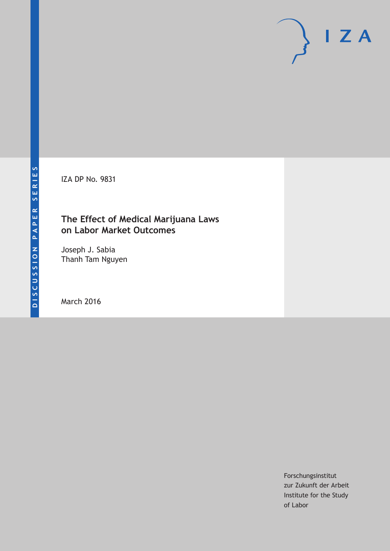IZA DP No. 9831

### **The Effect of Medical Marijuana Laws on Labor Market Outcomes**

Joseph J. Sabia Thanh Tam Nguyen

March 2016

Forschungsinstitut zur Zukunft der Arbeit Institute for the Study of Labor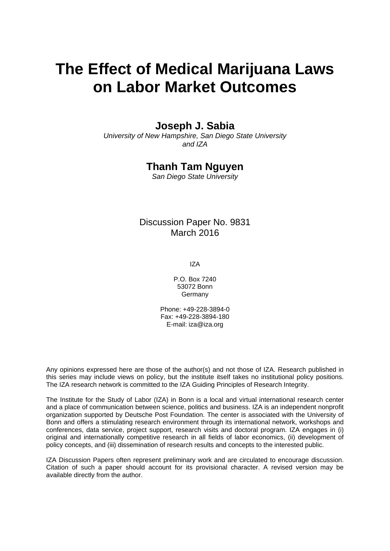# **The Effect of Medical Marijuana Laws on Labor Market Outcomes**

### **Joseph J. Sabia**

*University of New Hampshire, San Diego State University and IZA* 

### **Thanh Tam Nguyen**

*San Diego State University* 

### Discussion Paper No. 9831 March 2016

IZA

P.O. Box 7240 53072 Bonn **Germany** 

Phone: +49-228-3894-0 Fax: +49-228-3894-180 E-mail: iza@iza.org

Any opinions expressed here are those of the author(s) and not those of IZA. Research published in this series may include views on policy, but the institute itself takes no institutional policy positions. The IZA research network is committed to the IZA Guiding Principles of Research Integrity.

The Institute for the Study of Labor (IZA) in Bonn is a local and virtual international research center and a place of communication between science, politics and business. IZA is an independent nonprofit organization supported by Deutsche Post Foundation. The center is associated with the University of Bonn and offers a stimulating research environment through its international network, workshops and conferences, data service, project support, research visits and doctoral program. IZA engages in (i) original and internationally competitive research in all fields of labor economics, (ii) development of policy concepts, and (iii) dissemination of research results and concepts to the interested public.

IZA Discussion Papers often represent preliminary work and are circulated to encourage discussion. Citation of such a paper should account for its provisional character. A revised version may be available directly from the author.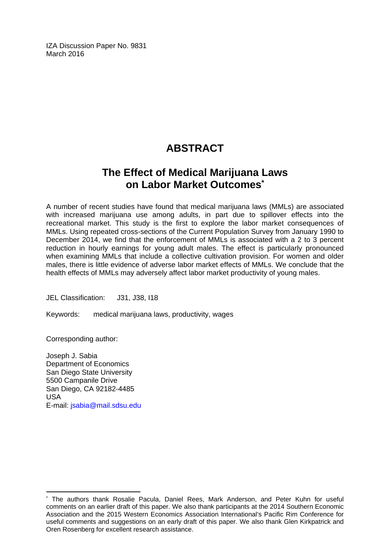IZA Discussion Paper No. 9831 March 2016

# **ABSTRACT**

# **The Effect of Medical Marijuana Laws on Labor Market Outcomes\***

A number of recent studies have found that medical marijuana laws (MMLs) are associated with increased marijuana use among adults, in part due to spillover effects into the recreational market. This study is the first to explore the labor market consequences of MMLs. Using repeated cross-sections of the Current Population Survey from January 1990 to December 2014, we find that the enforcement of MMLs is associated with a 2 to 3 percent reduction in hourly earnings for young adult males. The effect is particularly pronounced when examining MMLs that include a collective cultivation provision. For women and older males, there is little evidence of adverse labor market effects of MMLs. We conclude that the health effects of MMLs may adversely affect labor market productivity of young males.

JEL Classification: J31, J38, I18

Keywords: medical marijuana laws, productivity, wages

Corresponding author:

 $\overline{a}$ 

Joseph J. Sabia Department of Economics San Diego State University 5500 Campanile Drive San Diego, CA 92182-4485 USA E-mail: jsabia@mail.sdsu.edu

<sup>\*</sup> The authors thank Rosalie Pacula, Daniel Rees, Mark Anderson, and Peter Kuhn for useful comments on an earlier draft of this paper. We also thank participants at the 2014 Southern Economic Association and the 2015 Western Economics Association International's Pacific Rim Conference for useful comments and suggestions on an early draft of this paper. We also thank Glen Kirkpatrick and Oren Rosenberg for excellent research assistance.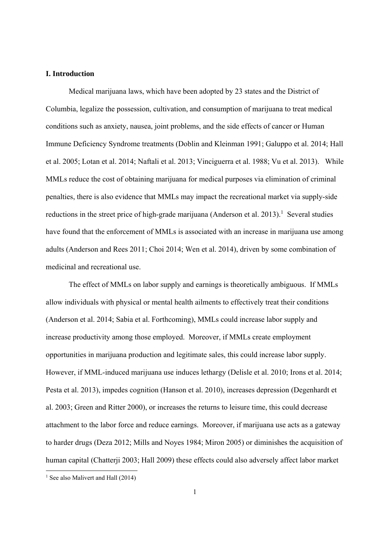#### **I. Introduction**

Medical marijuana laws, which have been adopted by 23 states and the District of Columbia, legalize the possession, cultivation, and consumption of marijuana to treat medical conditions such as anxiety, nausea, joint problems, and the side effects of cancer or Human Immune Deficiency Syndrome treatments (Doblin and Kleinman 1991; Galuppo et al. 2014; Hall et al. 2005; Lotan et al. 2014; Naftali et al. 2013; Vinciguerra et al. 1988; Vu et al. 2013). While MMLs reduce the cost of obtaining marijuana for medical purposes via elimination of criminal penalties, there is also evidence that MMLs may impact the recreational market via supply-side reductions in the street price of high-grade marijuana (Anderson et al.  $2013$ ).<sup>1</sup> Several studies have found that the enforcement of MMLs is associated with an increase in marijuana use among adults (Anderson and Rees 2011; Choi 2014; Wen et al. 2014), driven by some combination of medicinal and recreational use.

The effect of MMLs on labor supply and earnings is theoretically ambiguous. If MMLs allow individuals with physical or mental health ailments to effectively treat their conditions (Anderson et al. 2014; Sabia et al. Forthcoming), MMLs could increase labor supply and increase productivity among those employed. Moreover, if MMLs create employment opportunities in marijuana production and legitimate sales, this could increase labor supply. However, if MML-induced marijuana use induces lethargy (Delisle et al. 2010; Irons et al. 2014; Pesta et al. 2013), impedes cognition (Hanson et al. 2010), increases depression (Degenhardt et al. 2003; Green and Ritter 2000), or increases the returns to leisure time, this could decrease attachment to the labor force and reduce earnings. Moreover, if marijuana use acts as a gateway to harder drugs (Deza 2012; Mills and Noyes 1984; Miron 2005) or diminishes the acquisition of human capital (Chatterji 2003; Hall 2009) these effects could also adversely affect labor market

<sup>&</sup>lt;sup>1</sup> See also Malivert and Hall (2014)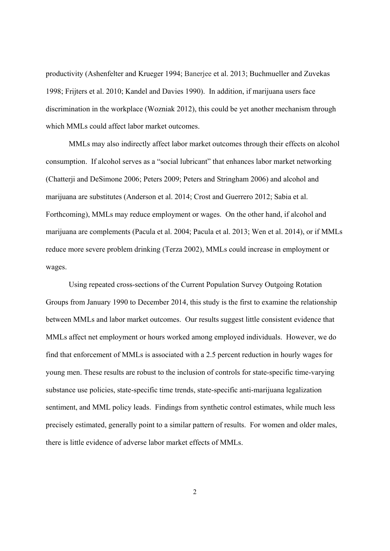productivity (Ashenfelter and Krueger 1994; Banerjee et al. 2013; Buchmueller and Zuvekas 1998; Frijters et al. 2010; Kandel and Davies 1990). In addition, if marijuana users face discrimination in the workplace (Wozniak 2012), this could be yet another mechanism through which MMLs could affect labor market outcomes.

MMLs may also indirectly affect labor market outcomes through their effects on alcohol consumption. If alcohol serves as a "social lubricant" that enhances labor market networking (Chatterji and DeSimone 2006; Peters 2009; Peters and Stringham 2006) and alcohol and marijuana are substitutes (Anderson et al. 2014; Crost and Guerrero 2012; Sabia et al. Forthcoming), MMLs may reduce employment or wages. On the other hand, if alcohol and marijuana are complements (Pacula et al. 2004; Pacula et al. 2013; Wen et al. 2014), or if MMLs reduce more severe problem drinking (Terza 2002), MMLs could increase in employment or wages.

Using repeated cross-sections of the Current Population Survey Outgoing Rotation Groups from January 1990 to December 2014, this study is the first to examine the relationship between MMLs and labor market outcomes. Our results suggest little consistent evidence that MMLs affect net employment or hours worked among employed individuals. However, we do find that enforcement of MMLs is associated with a 2.5 percent reduction in hourly wages for young men. These results are robust to the inclusion of controls for state-specific time-varying substance use policies, state-specific time trends, state-specific anti-marijuana legalization sentiment, and MML policy leads. Findings from synthetic control estimates, while much less precisely estimated, generally point to a similar pattern of results. For women and older males, there is little evidence of adverse labor market effects of MMLs.

2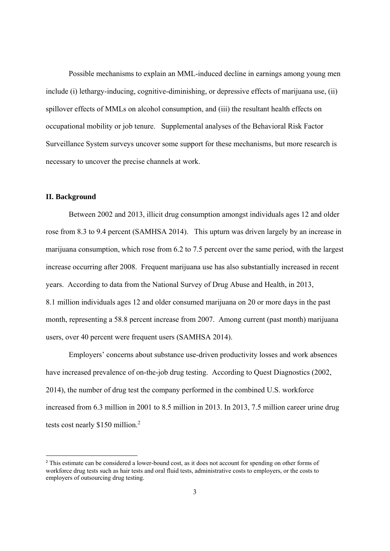Possible mechanisms to explain an MML-induced decline in earnings among young men include (i) lethargy-inducing, cognitive-diminishing, or depressive effects of marijuana use, (ii) spillover effects of MMLs on alcohol consumption, and (iii) the resultant health effects on occupational mobility or job tenure. Supplemental analyses of the Behavioral Risk Factor Surveillance System surveys uncover some support for these mechanisms, but more research is necessary to uncover the precise channels at work.

#### **II. Background**

Between 2002 and 2013, illicit drug consumption amongst individuals ages 12 and older rose from 8.3 to 9.4 percent (SAMHSA 2014). This upturn was driven largely by an increase in marijuana consumption, which rose from 6.2 to 7.5 percent over the same period, with the largest increase occurring after 2008. Frequent marijuana use has also substantially increased in recent years. According to data from the National Survey of Drug Abuse and Health, in 2013, 8.1 million individuals ages 12 and older consumed marijuana on 20 or more days in the past month, representing a 58.8 percent increase from 2007. Among current (past month) marijuana users, over 40 percent were frequent users (SAMHSA 2014).

Employers' concerns about substance use-driven productivity losses and work absences have increased prevalence of on-the-job drug testing. According to Quest Diagnostics (2002, 2014), the number of drug test the company performed in the combined U.S. workforce increased from 6.3 million in 2001 to 8.5 million in 2013. In 2013, 7.5 million career urine drug tests cost nearly \$150 million.<sup>2</sup>

<sup>&</sup>lt;sup>2</sup> This estimate can be considered a lower-bound cost, as it does not account for spending on other forms of workforce drug tests such as hair tests and oral fluid tests, administrative costs to employers, or the costs to employers of outsourcing drug testing.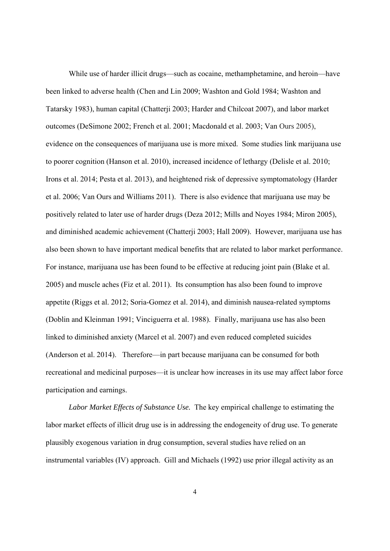While use of harder illicit drugs—such as cocaine, methamphetamine, and heroin—have been linked to adverse health (Chen and Lin 2009; Washton and Gold 1984; Washton and Tatarsky 1983), human capital (Chatterji 2003; Harder and Chilcoat 2007), and labor market outcomes (DeSimone 2002; French et al. 2001; Macdonald et al. 2003; Van Ours 2005), evidence on the consequences of marijuana use is more mixed. Some studies link marijuana use to poorer cognition (Hanson et al. 2010), increased incidence of lethargy (Delisle et al. 2010; Irons et al. 2014; Pesta et al. 2013), and heightened risk of depressive symptomatology (Harder et al. 2006; Van Ours and Williams 2011). There is also evidence that marijuana use may be positively related to later use of harder drugs (Deza 2012; Mills and Noyes 1984; Miron 2005), and diminished academic achievement (Chatterji 2003; Hall 2009). However, marijuana use has also been shown to have important medical benefits that are related to labor market performance. For instance, marijuana use has been found to be effective at reducing joint pain (Blake et al. 2005) and muscle aches (Fiz et al. 2011). Its consumption has also been found to improve appetite (Riggs et al. 2012; Soria-Gomez et al. 2014), and diminish nausea-related symptoms (Doblin and Kleinman 1991; Vinciguerra et al. 1988). Finally, marijuana use has also been linked to diminished anxiety (Marcel et al. 2007) and even reduced completed suicides (Anderson et al. 2014). Therefore—in part because marijuana can be consumed for both recreational and medicinal purposes—it is unclear how increases in its use may affect labor force participation and earnings.

*Labor Market Effects of Substance Use.* The key empirical challenge to estimating the labor market effects of illicit drug use is in addressing the endogeneity of drug use. To generate plausibly exogenous variation in drug consumption, several studies have relied on an instrumental variables (IV) approach. Gill and Michaels (1992) use prior illegal activity as an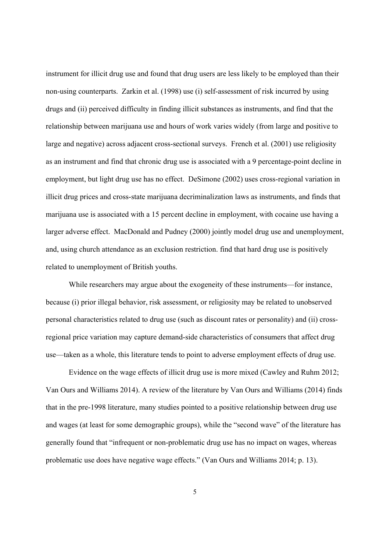instrument for illicit drug use and found that drug users are less likely to be employed than their non-using counterparts. Zarkin et al. (1998) use (i) self-assessment of risk incurred by using drugs and (ii) perceived difficulty in finding illicit substances as instruments, and find that the relationship between marijuana use and hours of work varies widely (from large and positive to large and negative) across adjacent cross-sectional surveys. French et al. (2001) use religiosity as an instrument and find that chronic drug use is associated with a 9 percentage-point decline in employment, but light drug use has no effect. DeSimone (2002) uses cross-regional variation in illicit drug prices and cross-state marijuana decriminalization laws as instruments, and finds that marijuana use is associated with a 15 percent decline in employment, with cocaine use having a larger adverse effect. MacDonald and Pudney (2000) jointly model drug use and unemployment, and, using church attendance as an exclusion restriction. find that hard drug use is positively related to unemployment of British youths.

While researchers may argue about the exogeneity of these instruments—for instance, because (i) prior illegal behavior, risk assessment, or religiosity may be related to unobserved personal characteristics related to drug use (such as discount rates or personality) and (ii) crossregional price variation may capture demand-side characteristics of consumers that affect drug use—taken as a whole, this literature tends to point to adverse employment effects of drug use.

Evidence on the wage effects of illicit drug use is more mixed (Cawley and Ruhm 2012; Van Ours and Williams 2014). A review of the literature by Van Ours and Williams (2014) finds that in the pre-1998 literature, many studies pointed to a positive relationship between drug use and wages (at least for some demographic groups), while the "second wave" of the literature has generally found that "infrequent or non-problematic drug use has no impact on wages, whereas problematic use does have negative wage effects." (Van Ours and Williams 2014; p. 13).

5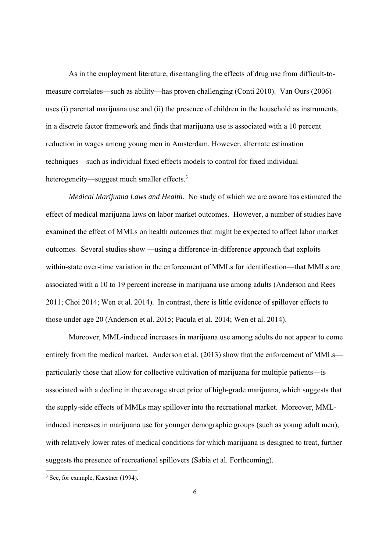As in the employment literature, disentangling the effects of drug use from difficult-tomeasure correlates—such as ability—has proven challenging (Conti 2010). Van Ours (2006) uses (i) parental marijuana use and (ii) the presence of children in the household as instruments, in a discrete factor framework and finds that marijuana use is associated with a 10 percent reduction in wages among young men in Amsterdam. However, alternate estimation techniques—such as individual fixed effects models to control for fixed individual heterogeneity—suggest much smaller effects.<sup>3</sup>

*Medical Marijuana Laws and Health.* No study of which we are aware has estimated the effect of medical marijuana laws on labor market outcomes. However, a number of studies have examined the effect of MMLs on health outcomes that might be expected to affect labor market outcomes. Several studies show —using a difference-in-difference approach that exploits within-state over-time variation in the enforcement of MMLs for identification—that MMLs are associated with a 10 to 19 percent increase in marijuana use among adults (Anderson and Rees 2011; Choi 2014; Wen et al. 2014). In contrast, there is little evidence of spillover effects to those under age 20 (Anderson et al. 2015; Pacula et al. 2014; Wen et al. 2014).

Moreover, MML-induced increases in marijuana use among adults do not appear to come entirely from the medical market. Anderson et al. (2013) show that the enforcement of MMLs particularly those that allow for collective cultivation of marijuana for multiple patients—is associated with a decline in the average street price of high-grade marijuana, which suggests that the supply-side effects of MMLs may spillover into the recreational market. Moreover, MMLinduced increases in marijuana use for younger demographic groups (such as young adult men), with relatively lower rates of medical conditions for which marijuana is designed to treat, further suggests the presence of recreational spillovers (Sabia et al. Forthcoming).

 <sup>3</sup> See, for example, Kaestner (1994).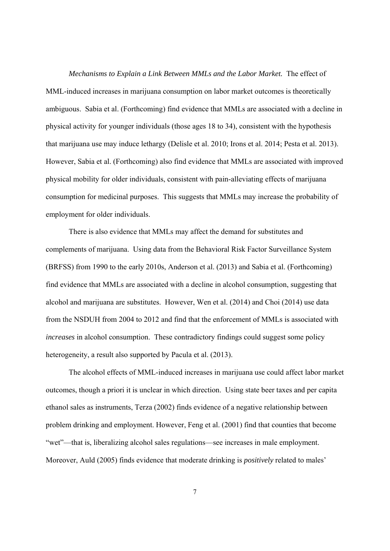*Mechanisms to Explain a Link Between MMLs and the Labor Market.* The effect of MML-induced increases in marijuana consumption on labor market outcomes is theoretically ambiguous. Sabia et al. (Forthcoming) find evidence that MMLs are associated with a decline in physical activity for younger individuals (those ages 18 to 34), consistent with the hypothesis that marijuana use may induce lethargy (Delisle et al. 2010; Irons et al. 2014; Pesta et al. 2013). However, Sabia et al. (Forthcoming) also find evidence that MMLs are associated with improved physical mobility for older individuals, consistent with pain-alleviating effects of marijuana consumption for medicinal purposes. This suggests that MMLs may increase the probability of employment for older individuals.

There is also evidence that MMLs may affect the demand for substitutes and complements of marijuana. Using data from the Behavioral Risk Factor Surveillance System (BRFSS) from 1990 to the early 2010s, Anderson et al. (2013) and Sabia et al. (Forthcoming) find evidence that MMLs are associated with a decline in alcohol consumption, suggesting that alcohol and marijuana are substitutes. However, Wen et al. (2014) and Choi (2014) use data from the NSDUH from 2004 to 2012 and find that the enforcement of MMLs is associated with *increases* in alcohol consumption. These contradictory findings could suggest some policy heterogeneity, a result also supported by Pacula et al. (2013).

The alcohol effects of MML-induced increases in marijuana use could affect labor market outcomes, though a priori it is unclear in which direction. Using state beer taxes and per capita ethanol sales as instruments, Terza (2002) finds evidence of a negative relationship between problem drinking and employment. However, Feng et al. (2001) find that counties that become "wet"—that is, liberalizing alcohol sales regulations—see increases in male employment. Moreover, Auld (2005) finds evidence that moderate drinking is *positively* related to males'

7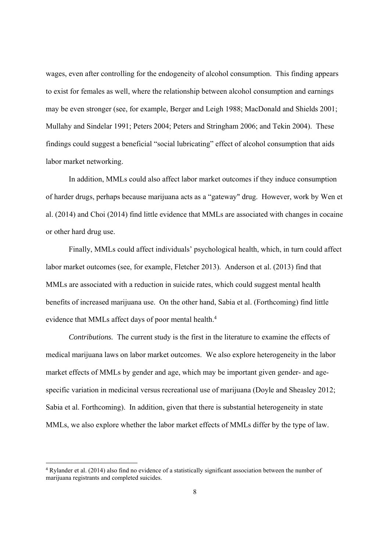wages, even after controlling for the endogeneity of alcohol consumption. This finding appears to exist for females as well, where the relationship between alcohol consumption and earnings may be even stronger (see, for example, Berger and Leigh 1988; MacDonald and Shields 2001; Mullahy and Sindelar 1991; Peters 2004; Peters and Stringham 2006; and Tekin 2004). These findings could suggest a beneficial "social lubricating" effect of alcohol consumption that aids labor market networking.

In addition, MMLs could also affect labor market outcomes if they induce consumption of harder drugs, perhaps because marijuana acts as a "gateway" drug. However, work by Wen et al. (2014) and Choi (2014) find little evidence that MMLs are associated with changes in cocaine or other hard drug use.

Finally, MMLs could affect individuals' psychological health, which, in turn could affect labor market outcomes (see, for example, Fletcher 2013). Anderson et al. (2013) find that MMLs are associated with a reduction in suicide rates, which could suggest mental health benefits of increased marijuana use. On the other hand, Sabia et al. (Forthcoming) find little evidence that MMLs affect days of poor mental health.<sup>4</sup>

*Contributions.* The current study is the first in the literature to examine the effects of medical marijuana laws on labor market outcomes. We also explore heterogeneity in the labor market effects of MMLs by gender and age, which may be important given gender- and agespecific variation in medicinal versus recreational use of marijuana (Doyle and Sheasley 2012; Sabia et al. Forthcoming). In addition, given that there is substantial heterogeneity in state MMLs, we also explore whether the labor market effects of MMLs differ by the type of law.

<sup>4</sup> Rylander et al. (2014) also find no evidence of a statistically significant association between the number of marijuana registrants and completed suicides.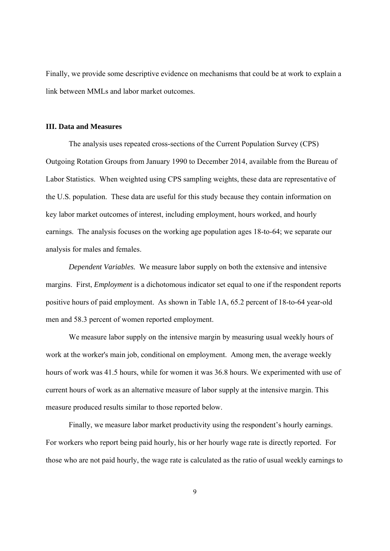Finally, we provide some descriptive evidence on mechanisms that could be at work to explain a link between MMLs and labor market outcomes.

#### **III. Data and Measures**

The analysis uses repeated cross-sections of the Current Population Survey (CPS) Outgoing Rotation Groups from January 1990 to December 2014, available from the Bureau of Labor Statistics. When weighted using CPS sampling weights, these data are representative of the U.S. population. These data are useful for this study because they contain information on key labor market outcomes of interest, including employment, hours worked, and hourly earnings. The analysis focuses on the working age population ages 18-to-64; we separate our analysis for males and females.

*Dependent Variables.* We measure labor supply on both the extensive and intensive margins. First, *Employment* is a dichotomous indicator set equal to one if the respondent reports positive hours of paid employment. As shown in Table 1A, 65.2 percent of 18-to-64 year-old men and 58.3 percent of women reported employment.

 We measure labor supply on the intensive margin by measuring usual weekly hours of work at the worker's main job, conditional on employment. Among men, the average weekly hours of work was 41.5 hours, while for women it was 36.8 hours. We experimented with use of current hours of work as an alternative measure of labor supply at the intensive margin. This measure produced results similar to those reported below.

 Finally, we measure labor market productivity using the respondent's hourly earnings. For workers who report being paid hourly, his or her hourly wage rate is directly reported. For those who are not paid hourly, the wage rate is calculated as the ratio of usual weekly earnings to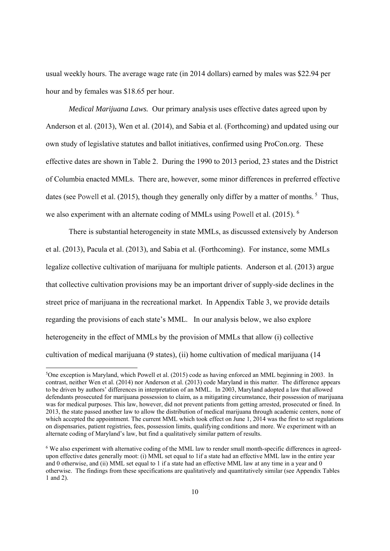usual weekly hours. The average wage rate (in 2014 dollars) earned by males was \$22.94 per hour and by females was \$18.65 per hour.

*Medical Marijuana Laws.* Our primary analysis uses effective dates agreed upon by Anderson et al. (2013), Wen et al. (2014), and Sabia et al. (Forthcoming) and updated using our own study of legislative statutes and ballot initiatives, confirmed using ProCon.org. These effective dates are shown in Table 2. During the 1990 to 2013 period, 23 states and the District of Columbia enacted MMLs. There are, however, some minor differences in preferred effective dates (see Powell et al. (2015), though they generally only differ by a matter of months.<sup>5</sup> Thus, we also experiment with an alternate coding of MMLs using Powell et al. (2015). <sup>6</sup>

 There is substantial heterogeneity in state MMLs, as discussed extensively by Anderson et al. (2013), Pacula et al. (2013), and Sabia et al. (Forthcoming). For instance, some MMLs legalize collective cultivation of marijuana for multiple patients. Anderson et al. (2013) argue that collective cultivation provisions may be an important driver of supply-side declines in the street price of marijuana in the recreational market. In Appendix Table 3, we provide details regarding the provisions of each state's MML. In our analysis below, we also explore heterogeneity in the effect of MMLs by the provision of MMLs that allow (i) collective cultivation of medical marijuana (9 states), (ii) home cultivation of medical marijuana (14

<sup>5</sup> One exception is Maryland, which Powell et al. (2015) code as having enforced an MML beginning in 2003. In contrast, neither Wen et al. (2014) nor Anderson et al. (2013) code Maryland in this matter. The difference appears to be driven by authors' differences in interpretation of an MML. In 2003, Maryland adopted a law that allowed defendants prosecuted for marijuana possession to claim, as a mitigating circumstance, their possession of marijuana was for medical purposes. This law, however, did not prevent patients from getting arrested, prosecuted or fined. In 2013, the state passed another law to allow the distribution of medical marijuana through academic centers, none of which accepted the appointment. The current MML which took effect on June 1, 2014 was the first to set regulations on dispensaries, patient registries, fees, possession limits, qualifying conditions and more. We experiment with an alternate coding of Maryland's law, but find a qualitatively similar pattern of results.

<sup>6</sup> We also experiment with alternative coding of the MML law to render small month-specific differences in agreedupon effective dates generally moot: (i) MML set equal to 1if a state had an effective MML law in the entire year and 0 otherwise, and (ii) MML set equal to 1 if a state had an effective MML law at any time in a year and 0 otherwise. The findings from these specifications are qualitatively and quantitatively similar (see Appendix Tables 1 and 2).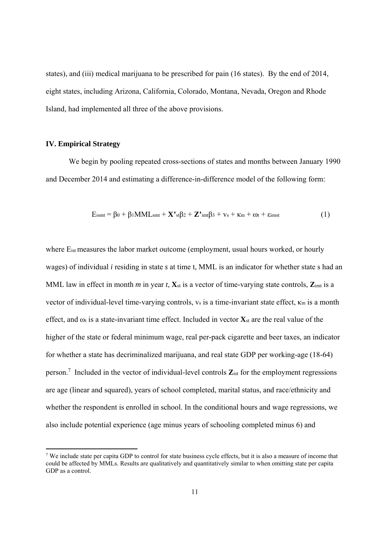states), and (iii) medical marijuana to be prescribed for pain (16 states). By the end of 2014, eight states, including Arizona, California, Colorado, Montana, Nevada, Oregon and Rhode Island, had implemented all three of the above provisions.

#### **IV. Empirical Strategy**

We begin by pooling repeated cross-sections of states and months between January 1990 and December 2014 and estimating a difference-in-difference model of the following form:

$$
E_{\text{ismt}} = \beta_0 + \beta_1 \text{MML}_{\text{smt}} + \mathbf{X}^{\prime} \cdot \mathbf{s} \beta_2 + \mathbf{Z}^{\prime} \cdot \mathbf{m} \beta_3 + \mathbf{v}_s + \kappa_m + \omega_t + \varepsilon_{\text{imst}}
$$
(1)

where E<sub>ist</sub> measures the labor market outcome (employment, usual hours worked, or hourly wages) of individual *i* residing in state *s* at time t, MML is an indicator for whether state s had an MML law in effect in month *m* in year *t*,  $\mathbf{X}_{st}$  is a vector of time-varying state controls,  $\mathbf{Z}_{imt}$  is a vector of individual-level time-varying controls,  $v_s$  is a time-invariant state effect,  $\kappa_m$  is a month effect, and  $\omega_t$  is a state-invariant time effect. Included in vector  $\mathbf{X}_{st}$  are the real value of the higher of the state or federal minimum wage, real per-pack cigarette and beer taxes, an indicator for whether a state has decriminalized marijuana, and real state GDP per working-age (18-64) person.7 Included in the vector of individual-level controls **Z**ist for the employment regressions are age (linear and squared), years of school completed, marital status, and race/ethnicity and whether the respondent is enrolled in school. In the conditional hours and wage regressions, we also include potential experience (age minus years of schooling completed minus 6) and

<sup>&</sup>lt;sup>7</sup> We include state per capita GDP to control for state business cycle effects, but it is also a measure of income that could be affected by MMLs. Results are qualitatively and quantitatively similar to when omitting state per capita GDP as a control.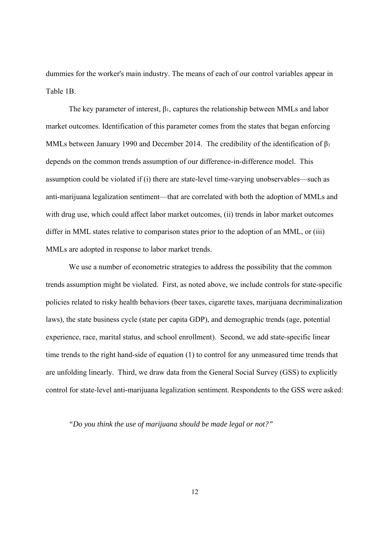dummies for the worker's main industry. The means of each of our control variables appear in Table 1B.

The key parameter of interest, β1, captures the relationship between MMLs and labor market outcomes. Identification of this parameter comes from the states that began enforcing MMLs between January 1990 and December 2014. The credibility of the identification of β1 depends on the common trends assumption of our difference-in-difference model. This assumption could be violated if (i) there are state-level time-varying unobservables—such as anti-marijuana legalization sentiment—that are correlated with both the adoption of MMLs and with drug use, which could affect labor market outcomes, (ii) trends in labor market outcomes differ in MML states relative to comparison states prior to the adoption of an MML, or (iii) MMLs are adopted in response to labor market trends.

We use a number of econometric strategies to address the possibility that the common trends assumption might be violated. First, as noted above, we include controls for state-specific policies related to risky health behaviors (beer taxes, cigarette taxes, marijuana decriminalization laws), the state business cycle (state per capita GDP), and demographic trends (age, potential experience, race, marital status, and school enrollment). Second, we add state-specific linear time trends to the right hand-side of equation (1) to control for any unmeasured time trends that are unfolding linearly. Third, we draw data from the General Social Survey (GSS) to explicitly control for state-level anti-marijuana legalization sentiment. Respondents to the GSS were asked:

*"Do you think the use of marijuana should be made legal or not?"*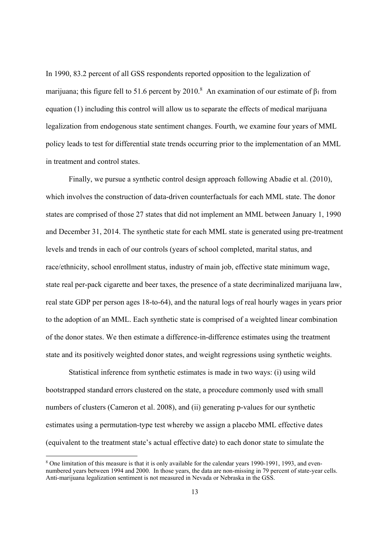In 1990, 83.2 percent of all GSS respondents reported opposition to the legalization of marijuana; this figure fell to 51.6 percent by 2010.<sup>8</sup> An examination of our estimate of  $\beta_1$  from equation (1) including this control will allow us to separate the effects of medical marijuana legalization from endogenous state sentiment changes. Fourth, we examine four years of MML policy leads to test for differential state trends occurring prior to the implementation of an MML in treatment and control states.

 Finally, we pursue a synthetic control design approach following Abadie et al. (2010), which involves the construction of data-driven counterfactuals for each MML state. The donor states are comprised of those 27 states that did not implement an MML between January 1, 1990 and December 31, 2014. The synthetic state for each MML state is generated using pre-treatment levels and trends in each of our controls (years of school completed, marital status, and race/ethnicity, school enrollment status, industry of main job, effective state minimum wage, state real per-pack cigarette and beer taxes, the presence of a state decriminalized marijuana law, real state GDP per person ages 18-to-64), and the natural logs of real hourly wages in years prior to the adoption of an MML. Each synthetic state is comprised of a weighted linear combination of the donor states. We then estimate a difference-in-difference estimates using the treatment state and its positively weighted donor states, and weight regressions using synthetic weights.

 Statistical inference from synthetic estimates is made in two ways: (i) using wild bootstrapped standard errors clustered on the state, a procedure commonly used with small numbers of clusters (Cameron et al. 2008), and (ii) generating p-values for our synthetic estimates using a permutation-type test whereby we assign a placebo MML effective dates (equivalent to the treatment state's actual effective date) to each donor state to simulate the

<sup>&</sup>lt;sup>8</sup> One limitation of this measure is that it is only available for the calendar years 1990-1991, 1993, and evennumbered years between 1994 and 2000. In those years, the data are non-missing in 79 percent of state-year cells. Anti-marijuana legalization sentiment is not measured in Nevada or Nebraska in the GSS.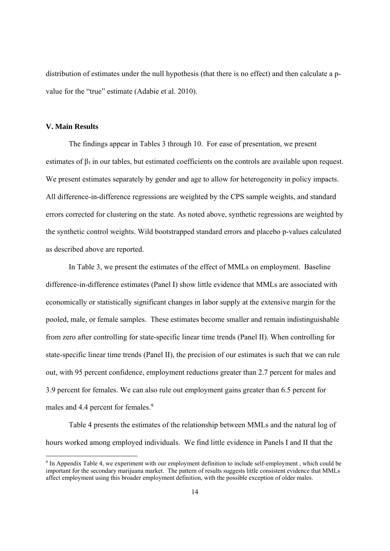distribution of estimates under the null hypothesis (that there is no effect) and then calculate a pvalue for the "true" estimate (Adabie et al. 2010).

#### **V. Main Results**

 The findings appear in Tables 3 through 10. For ease of presentation, we present estimates of  $\beta_1$  in our tables, but estimated coefficients on the controls are available upon request. We present estimates separately by gender and age to allow for heterogeneity in policy impacts. All difference-in-difference regressions are weighted by the CPS sample weights, and standard errors corrected for clustering on the state. As noted above, synthetic regressions are weighted by the synthetic control weights. Wild bootstrapped standard errors and placebo p-values calculated as described above are reported.

 In Table 3, we present the estimates of the effect of MMLs on employment. Baseline difference-in-difference estimates (Panel I) show little evidence that MMLs are associated with economically or statistically significant changes in labor supply at the extensive margin for the pooled, male, or female samples. These estimates become smaller and remain indistinguishable from zero after controlling for state-specific linear time trends (Panel II). When controlling for state-specific linear time trends (Panel II), the precision of our estimates is such that we can rule out, with 95 percent confidence, employment reductions greater than 2.7 percent for males and 3.9 percent for females. We can also rule out employment gains greater than 6.5 percent for males and 4.4 percent for females.<sup>9</sup>

Table 4 presents the estimates of the relationship between MMLs and the natural log of hours worked among employed individuals. We find little evidence in Panels I and II that the

<sup>9</sup> In Appendix Table 4, we experiment with our employment definition to include self-employment , which could be important for the secondary marijuana market. The pattern of results suggests little consistent evidence that MMLs affect employment using this broader employment definition, with the possible exception of older males.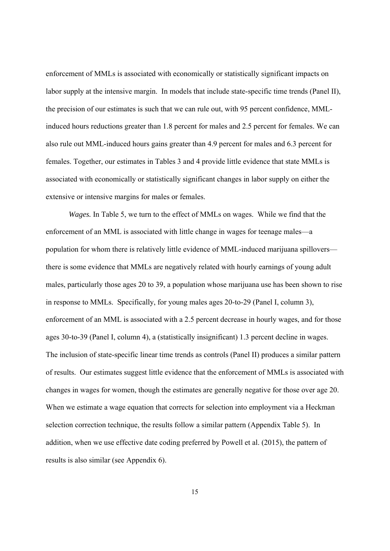enforcement of MMLs is associated with economically or statistically significant impacts on labor supply at the intensive margin. In models that include state-specific time trends (Panel II), the precision of our estimates is such that we can rule out, with 95 percent confidence, MMLinduced hours reductions greater than 1.8 percent for males and 2.5 percent for females. We can also rule out MML-induced hours gains greater than 4.9 percent for males and 6.3 percent for females. Together, our estimates in Tables 3 and 4 provide little evidence that state MMLs is associated with economically or statistically significant changes in labor supply on either the extensive or intensive margins for males or females.

*Wages.* In Table 5, we turn to the effect of MMLs on wages. While we find that the enforcement of an MML is associated with little change in wages for teenage males—a population for whom there is relatively little evidence of MML-induced marijuana spillovers there is some evidence that MMLs are negatively related with hourly earnings of young adult males, particularly those ages 20 to 39, a population whose marijuana use has been shown to rise in response to MMLs. Specifically, for young males ages 20-to-29 (Panel I, column 3), enforcement of an MML is associated with a 2.5 percent decrease in hourly wages, and for those ages 30-to-39 (Panel I, column 4), a (statistically insignificant) 1.3 percent decline in wages. The inclusion of state-specific linear time trends as controls (Panel II) produces a similar pattern of results. Our estimates suggest little evidence that the enforcement of MMLs is associated with changes in wages for women, though the estimates are generally negative for those over age 20. When we estimate a wage equation that corrects for selection into employment via a Heckman selection correction technique, the results follow a similar pattern (Appendix Table 5). In addition, when we use effective date coding preferred by Powell et al. (2015), the pattern of results is also similar (see Appendix 6).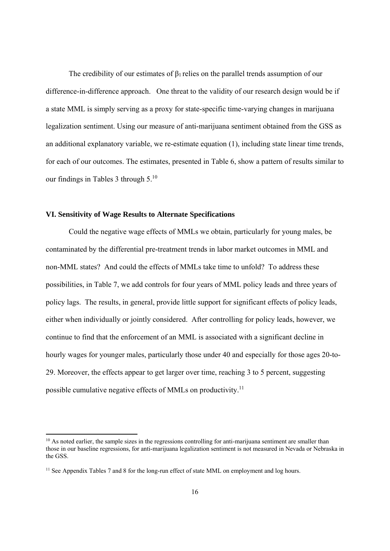The credibility of our estimates of  $\beta_1$  relies on the parallel trends assumption of our difference-in-difference approach. One threat to the validity of our research design would be if a state MML is simply serving as a proxy for state-specific time-varying changes in marijuana legalization sentiment. Using our measure of anti-marijuana sentiment obtained from the GSS as an additional explanatory variable, we re-estimate equation (1), including state linear time trends, for each of our outcomes. The estimates, presented in Table 6, show a pattern of results similar to our findings in Tables 3 through 5.10

#### **VI. Sensitivity of Wage Results to Alternate Specifications**

Could the negative wage effects of MMLs we obtain, particularly for young males, be contaminated by the differential pre-treatment trends in labor market outcomes in MML and non-MML states? And could the effects of MMLs take time to unfold? To address these possibilities, in Table 7, we add controls for four years of MML policy leads and three years of policy lags. The results, in general, provide little support for significant effects of policy leads, either when individually or jointly considered. After controlling for policy leads, however, we continue to find that the enforcement of an MML is associated with a significant decline in hourly wages for younger males, particularly those under 40 and especially for those ages 20-to-29. Moreover, the effects appear to get larger over time, reaching 3 to 5 percent, suggesting possible cumulative negative effects of MMLs on productivity.11

<sup>&</sup>lt;sup>10</sup> As noted earlier, the sample sizes in the regressions controlling for anti-marijuana sentiment are smaller than those in our baseline regressions, for anti-marijuana legalization sentiment is not measured in Nevada or Nebraska in the GSS.

<sup>&</sup>lt;sup>11</sup> See Appendix Tables 7 and 8 for the long-run effect of state MML on employment and log hours.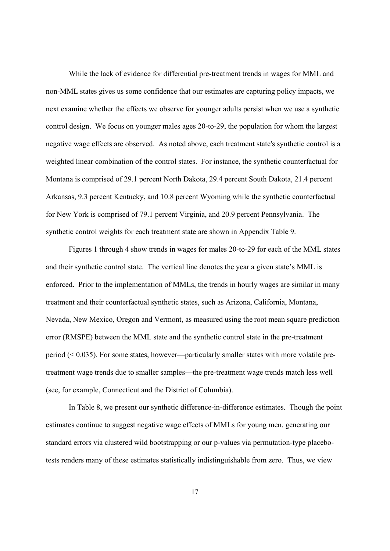While the lack of evidence for differential pre-treatment trends in wages for MML and non-MML states gives us some confidence that our estimates are capturing policy impacts, we next examine whether the effects we observe for younger adults persist when we use a synthetic control design. We focus on younger males ages 20-to-29, the population for whom the largest negative wage effects are observed. As noted above, each treatment state's synthetic control is a weighted linear combination of the control states. For instance, the synthetic counterfactual for Montana is comprised of 29.1 percent North Dakota, 29.4 percent South Dakota, 21.4 percent Arkansas, 9.3 percent Kentucky, and 10.8 percent Wyoming while the synthetic counterfactual for New York is comprised of 79.1 percent Virginia, and 20.9 percent Pennsylvania. The synthetic control weights for each treatment state are shown in Appendix Table 9.

Figures 1 through 4 show trends in wages for males 20-to-29 for each of the MML states and their synthetic control state. The vertical line denotes the year a given state's MML is enforced. Prior to the implementation of MMLs, the trends in hourly wages are similar in many treatment and their counterfactual synthetic states, such as Arizona, California, Montana, Nevada, New Mexico, Oregon and Vermont, as measured using the root mean square prediction error (RMSPE) between the MML state and the synthetic control state in the pre-treatment period (< 0.035). For some states, however—particularly smaller states with more volatile pretreatment wage trends due to smaller samples—the pre-treatment wage trends match less well (see, for example, Connecticut and the District of Columbia).

 In Table 8, we present our synthetic difference-in-difference estimates. Though the point estimates continue to suggest negative wage effects of MMLs for young men, generating our standard errors via clustered wild bootstrapping or our p-values via permutation-type placebotests renders many of these estimates statistically indistinguishable from zero. Thus, we view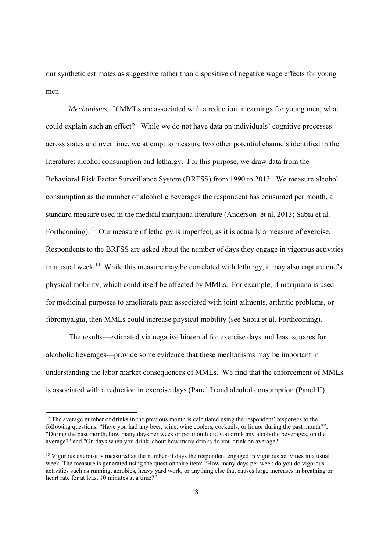our synthetic estimates as suggestive rather than dispositive of negative wage effects for young men.

*Mechanisms.* If MMLs are associated with a reduction in earnings for young men, what could explain such an effect? While we do not have data on individuals' cognitive processes across states and over time, we attempt to measure two other potential channels identified in the literature: alcohol consumption and lethargy. For this purpose, we draw data from the Behavioral Risk Factor Surveillance System (BRFSS) from 1990 to 2013. We measure alcohol consumption as the number of alcoholic beverages the respondent has consumed per month, a standard measure used in the medical marijuana literature (Anderson et al. 2013; Sabia et al. Forthcoming).<sup>12</sup> Our measure of lethargy is imperfect, as it is actually a measure of exercise. Respondents to the BRFSS are asked about the number of days they engage in vigorous activities in a usual week.13 While this measure may be correlated with lethargy, it may also capture one's physical mobility, which could itself be affected by MMLs. For example, if marijuana is used for medicinal purposes to ameliorate pain associated with joint ailments, arthritic problems, or fibromyalgia, then MMLs could increase physical mobility (see Sabia et al. Forthcoming).

The results—estimated via negative binomial for exercise days and least squares for alcoholic beverages—provide some evidence that these mechanisms may be important in understanding the labor market consequences of MMLs. We find that the enforcement of MMLs is associated with a reduction in exercise days (Panel I) and alcohol consumption (Panel II)

 $12$  The average number of drinks in the previous month is calculated using the respondent' responses to the following questions, "Have you had any beer, wine, wine coolers, cocktails, or liquor during the past month?", "During the past month, how many days per week or per month did you drink any alcoholic beverages, on the average?" and "On days when you drink, about how many drinks do you drink on average?"

<sup>&</sup>lt;sup>13</sup> Vigorous exercise is measured as the number of days the respondent engaged in vigorous activities in a usual week. The measure is generated using the questionnaire item: "How many days per week do you do vigorous activities such as running, aerobics, heavy yard work, or anything else that causes large increases in breathing or heart rate for at least 10 minutes at a time?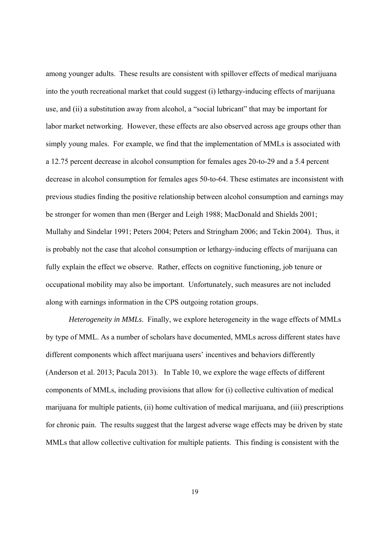among younger adults. These results are consistent with spillover effects of medical marijuana into the youth recreational market that could suggest (i) lethargy-inducing effects of marijuana use, and (ii) a substitution away from alcohol, a "social lubricant" that may be important for labor market networking. However, these effects are also observed across age groups other than simply young males. For example, we find that the implementation of MMLs is associated with a 12.75 percent decrease in alcohol consumption for females ages 20-to-29 and a 5.4 percent decrease in alcohol consumption for females ages 50-to-64. These estimates are inconsistent with previous studies finding the positive relationship between alcohol consumption and earnings may be stronger for women than men (Berger and Leigh 1988; MacDonald and Shields 2001; Mullahy and Sindelar 1991; Peters 2004; Peters and Stringham 2006; and Tekin 2004). Thus, it is probably not the case that alcohol consumption or lethargy-inducing effects of marijuana can fully explain the effect we observe. Rather, effects on cognitive functioning, job tenure or occupational mobility may also be important. Unfortunately, such measures are not included along with earnings information in the CPS outgoing rotation groups.

*Heterogeneity in MMLs*. Finally, we explore heterogeneity in the wage effects of MMLs by type of MML. As a number of scholars have documented, MMLs across different states have different components which affect marijuana users' incentives and behaviors differently (Anderson et al. 2013; Pacula 2013). In Table 10, we explore the wage effects of different components of MMLs, including provisions that allow for (i) collective cultivation of medical marijuana for multiple patients, (ii) home cultivation of medical marijuana, and (iii) prescriptions for chronic pain. The results suggest that the largest adverse wage effects may be driven by state MMLs that allow collective cultivation for multiple patients. This finding is consistent with the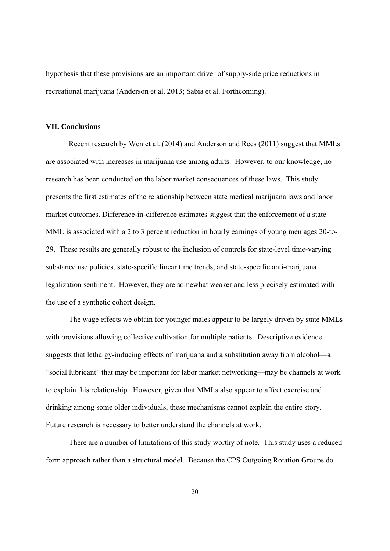hypothesis that these provisions are an important driver of supply-side price reductions in recreational marijuana (Anderson et al. 2013; Sabia et al. Forthcoming).

#### **VII. Conclusions**

Recent research by Wen et al. (2014) and Anderson and Rees (2011) suggest that MMLs are associated with increases in marijuana use among adults. However, to our knowledge, no research has been conducted on the labor market consequences of these laws. This study presents the first estimates of the relationship between state medical marijuana laws and labor market outcomes. Difference-in-difference estimates suggest that the enforcement of a state MML is associated with a 2 to 3 percent reduction in hourly earnings of young men ages 20-to-29. These results are generally robust to the inclusion of controls for state-level time-varying substance use policies, state-specific linear time trends, and state-specific anti-marijuana legalization sentiment. However, they are somewhat weaker and less precisely estimated with the use of a synthetic cohort design.

The wage effects we obtain for younger males appear to be largely driven by state MMLs with provisions allowing collective cultivation for multiple patients. Descriptive evidence suggests that lethargy-inducing effects of marijuana and a substitution away from alcohol—a "social lubricant" that may be important for labor market networking—may be channels at work to explain this relationship. However, given that MMLs also appear to affect exercise and drinking among some older individuals, these mechanisms cannot explain the entire story. Future research is necessary to better understand the channels at work.

There are a number of limitations of this study worthy of note. This study uses a reduced form approach rather than a structural model. Because the CPS Outgoing Rotation Groups do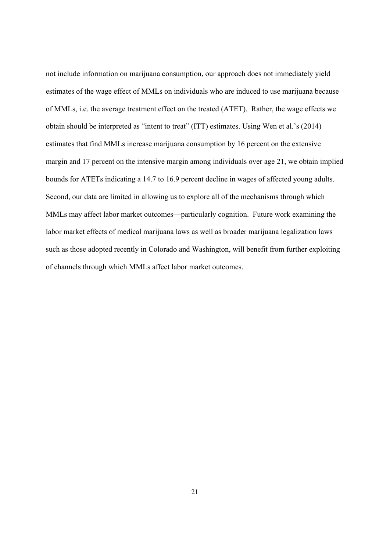not include information on marijuana consumption, our approach does not immediately yield estimates of the wage effect of MMLs on individuals who are induced to use marijuana because of MMLs, i.e. the average treatment effect on the treated (ATET). Rather, the wage effects we obtain should be interpreted as "intent to treat" (ITT) estimates. Using Wen et al.'s (2014) estimates that find MMLs increase marijuana consumption by 16 percent on the extensive margin and 17 percent on the intensive margin among individuals over age 21, we obtain implied bounds for ATETs indicating a 14.7 to 16.9 percent decline in wages of affected young adults. Second, our data are limited in allowing us to explore all of the mechanisms through which MMLs may affect labor market outcomes—particularly cognition. Future work examining the labor market effects of medical marijuana laws as well as broader marijuana legalization laws such as those adopted recently in Colorado and Washington, will benefit from further exploiting of channels through which MMLs affect labor market outcomes.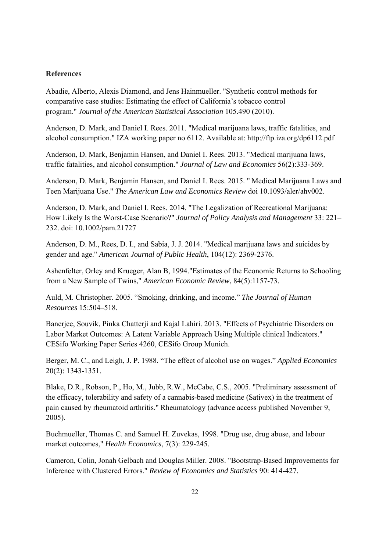#### **References**

Abadie, Alberto, Alexis Diamond, and Jens Hainmueller. "Synthetic control methods for comparative case studies: Estimating the effect of California's tobacco control program." *Journal of the American Statistical Association* 105.490 (2010).

Anderson, D. Mark, and Daniel I. Rees. 2011. "Medical marijuana laws, traffic fatalities, and alcohol consumption." IZA working paper no 6112. Available at: http://ftp.iza.org/dp6112.pdf

Anderson, D. Mark, Benjamin Hansen, and Daniel I. Rees. 2013. "Medical marijuana laws, traffic fatalities, and alcohol consumption." *Journal of Law and Economics* 56(2):333-369.

Anderson, D. Mark, Benjamin Hansen, and Daniel I. Rees. 2015. " Medical Marijuana Laws and Teen Marijuana Use." *The American Law and Economics Review* doi 10.1093/aler/ahv002.

Anderson, D. Mark, and Daniel I. Rees. 2014. "The Legalization of Recreational Marijuana: How Likely Is the Worst-Case Scenario?" *Journal of Policy Analysis and Management* 33: 221– 232. doi: 10.1002/pam.21727

Anderson, D. M., Rees, D. I., and Sabia, J. J. 2014. "Medical marijuana laws and suicides by gender and age." *American Journal of Public Health*, 104(12): 2369-2376.

Ashenfelter, Orley and Krueger, Alan B, 1994."Estimates of the Economic Returns to Schooling from a New Sample of Twins," *American Economic Review*, 84(5):1157-73.

Auld, M. Christopher. 2005. "Smoking, drinking, and income." *The Journal of Human Resources* 15:504–518.

Banerjee, Souvik, Pinka Chatterji and Kajal Lahiri. 2013. "Effects of Psychiatric Disorders on Labor Market Outcomes: A Latent Variable Approach Using Multiple clinical Indicators." CESifo Working Paper Series 4260, CESifo Group Munich.

Berger, M. C., and Leigh, J. P. 1988. "The effect of alcohol use on wages." *Applied Economics*  20(2): 1343-1351.

Blake, D.R., Robson, P., Ho, M., Jubb, R.W., McCabe, C.S., 2005. "Preliminary assessment of the efficacy, tolerability and safety of a cannabis-based medicine (Sativex) in the treatment of pain caused by rheumatoid arthritis." Rheumatology (advance access published November 9, 2005).

Buchmueller, Thomas C. and Samuel H. Zuvekas, 1998. "Drug use, drug abuse, and labour market outcomes," *Health Economics*, 7(3): 229-245.

Cameron, Colin, Jonah Gelbach and Douglas Miller. 2008. "Bootstrap-Based Improvements for Inference with Clustered Errors." *Review of Economics and Statistics* 90: 414-427.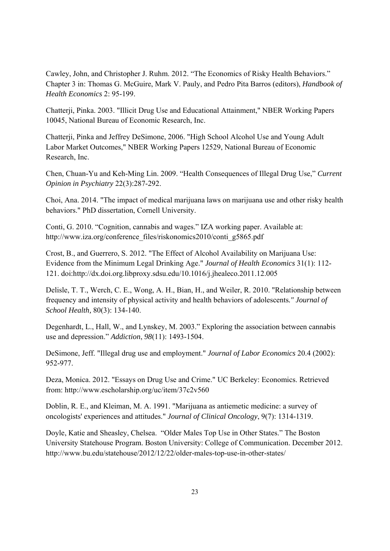Cawley, John, and Christopher J. Ruhm. 2012. "The Economics of Risky Health Behaviors." Chapter 3 in: Thomas G. McGuire, Mark V. Pauly, and Pedro Pita Barros (editors), *Handbook of Health Economics* 2: 95-199.

Chatterji, Pinka. 2003. "Illicit Drug Use and Educational Attainment," NBER Working Papers 10045, National Bureau of Economic Research, Inc.

Chatterji, Pinka and Jeffrey DeSimone, 2006. "High School Alcohol Use and Young Adult Labor Market Outcomes," NBER Working Papers 12529, National Bureau of Economic Research, Inc.

Chen, Chuan-Yu and Keh-Ming Lin. 2009. "Health Consequences of Illegal Drug Use," *Current Opinion in Psychiatry* 22(3):287-292.

Choi, Ana. 2014. "The impact of medical marijuana laws on marijuana use and other risky health behaviors." PhD dissertation, Cornell University.

Conti, G. 2010. "Cognition, cannabis and wages." IZA working paper. Available at: http://www.iza.org/conference\_files/riskonomics2010/conti\_g5865.pdf

Crost, B., and Guerrero, S. 2012. "The Effect of Alcohol Availability on Marijuana Use: Evidence from the Minimum Legal Drinking Age." *Journal of Health Economics* 31(1): 112- 121. doi:http://dx.doi.org.libproxy.sdsu.edu/10.1016/j.jhealeco.2011.12.005

Delisle, T. T., Werch, C. E., Wong, A. H., Bian, H., and Weiler, R. 2010. "Relationship between frequency and intensity of physical activity and health behaviors of adolescents*." Journal of School Health,* 80(3): 134-140.

Degenhardt, L., Hall, W., and Lynskey, M. 2003." Exploring the association between cannabis use and depression." *Addiction*, *98*(11): 1493-1504.

DeSimone, Jeff. "Illegal drug use and employment." *Journal of Labor Economics* 20.4 (2002): 952-977.

Deza, Monica. 2012. "Essays on Drug Use and Crime." UC Berkeley: Economics. Retrieved from: http://www.escholarship.org/uc/item/37c2v560

Doblin, R. E., and Kleiman, M. A. 1991. "Marijuana as antiemetic medicine: a survey of oncologists' experiences and attitudes." *Journal of Clinical Oncology*, 9(7): 1314-1319.

Doyle, Katie and Sheasley, Chelsea. "Older Males Top Use in Other States." The Boston University Statehouse Program. Boston University: College of Communication. December 2012. http://www.bu.edu/statehouse/2012/12/22/older-males-top-use-in-other-states/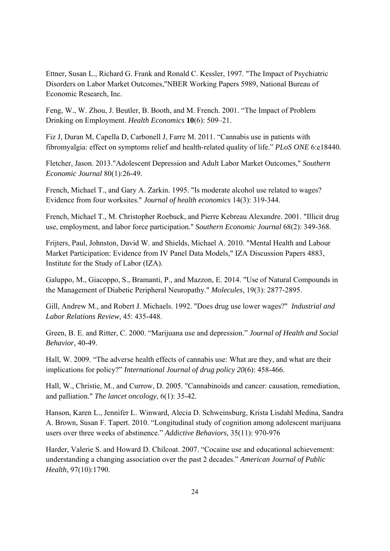Ettner, Susan L., Richard G. Frank and Ronald C. Kessler, 1997. "The Impact of Psychiatric Disorders on Labor Market Outcomes,"NBER Working Papers 5989, National Bureau of Economic Research, Inc.

Feng, W., W. Zhou, J. Beutler, B. Booth, and M. French. 2001. "The Impact of Problem Drinking on Employment. *Health Economics* **10**(6): 509–21.

Fiz J, Duran M, Capella D, Carbonell J, Farre M. 2011. "Cannabis use in patients with fibromyalgia: effect on symptoms relief and health-related quality of life." *PLoS ONE* 6:e18440*.*

Fletcher, Jason. 2013."Adolescent Depression and Adult Labor Market Outcomes," *Southern Economic Journal* 80(1):26-49.

French, Michael T., and Gary A. Zarkin. 1995. "Is moderate alcohol use related to wages? Evidence from four worksites." *Journal of health economics* 14(3): 319-344.

French, Michael T., M. Christopher Roebuck, and Pierre Kebreau Alexandre. 2001. "Illicit drug use, employment, and labor force participation." *Southern Economic Journal* 68(2): 349-368.

Frijters, Paul, Johnston, David W. and Shields, Michael A. 2010. "Mental Health and Labour Market Participation: Evidence from IV Panel Data Models," IZA Discussion Papers 4883, Institute for the Study of Labor (IZA).

Galuppo, M., Giacoppo, S., Bramanti, P., and Mazzon, E. 2014. "Use of Natural Compounds in the Management of Diabetic Peripheral Neuropathy." *Molecules*, 19(3): 2877-2895.

Gill, Andrew M., and Robert J. Michaels. 1992. "Does drug use lower wages?" *Industrial and Labor Relations Review,* 45: 435-448.

Green, B. E. and Ritter, C. 2000. "Marijuana use and depression." *Journal of Health and Social Behavior*, 40-49.

Hall, W. 2009. "The adverse health effects of cannabis use: What are they, and what are their implications for policy?" *International Journal of drug policy 20*(6): 458-466.

Hall, W., Christie, M., and Currow, D. 2005. "Cannabinoids and cancer: causation, remediation, and palliation." *The lancet oncology*, 6(1): 35-42.

Hanson, Karen L., Jennifer L. Winward, Alecia D. Schweinsburg, Krista Lisdahl Medina, Sandra A. Brown, Susan F. Tapert. 2010. "Longitudinal study of cognition among adolescent marijuana users over three weeks of abstinence." *Addictive Behaviors*, 35(11): 970-976

Harder, Valerie S. and Howard D. Chilcoat. 2007. "Cocaine use and educational achievement: understanding a changing association over the past 2 decades." *American Journal of Public Health*, 97(10):1790.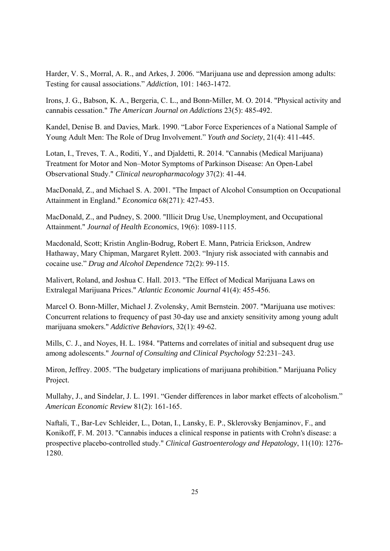Harder, V. S., Morral, A. R., and Arkes, J. 2006. "Marijuana use and depression among adults: Testing for causal associations." *Addiction*, 101: 1463-1472.

Irons, J. G., Babson, K. A., Bergeria, C. L., and Bonn‐Miller, M. O. 2014. "Physical activity and cannabis cessation." *The American Journal on Addictions* 23(5): 485-492.

Kandel, Denise B. and Davies, Mark. 1990. "Labor Force Experiences of a National Sample of Young Adult Men: The Role of Drug Involvement." *Youth and Society*, 21(4): 411-445.

Lotan, I., Treves, T. A., Roditi, Y., and Djaldetti, R. 2014. "Cannabis (Medical Marijuana) Treatment for Motor and Non–Motor Symptoms of Parkinson Disease: An Open-Label Observational Study." *Clinical neuropharmacology* 37(2): 41-44.

MacDonald, Z., and Michael S. A. 2001. "The Impact of Alcohol Consumption on Occupational Attainment in England." *Economica* 68(271): 427-453.

MacDonald, Z., and Pudney, S. 2000. "Illicit Drug Use, Unemployment, and Occupational Attainment." *Journal of Health Economics*, 19(6): 1089-1115.

Macdonald, Scott; Kristin Anglin-Bodrug, Robert E. Mann, Patricia Erickson, Andrew Hathaway, Mary Chipman, Margaret Rylett. 2003. "Injury risk associated with cannabis and cocaine use." *Drug and Alcohol Dependence* 72(2): 99-115.

Malivert, Roland, and Joshua C. Hall. 2013. "The Effect of Medical Marijuana Laws on Extralegal Marijuana Prices." *Atlantic Economic Journal* 41(4): 455-456.

Marcel O. Bonn-Miller, Michael J. Zvolensky, Amit Bernstein. 2007. "Marijuana use motives: Concurrent relations to frequency of past 30-day use and anxiety sensitivity among young adult marijuana smokers." *Addictive Behaviors*, 32(1): 49-62.

Mills, C. J., and Noyes, H. L. 1984. "Patterns and correlates of initial and subsequent drug use among adolescents." *Journal of Consulting and Clinical Psychology* 52:231–243.

Miron, Jeffrey. 2005. "The budgetary implications of marijuana prohibition." Marijuana Policy Project.

Mullahy, J., and Sindelar, J. L. 1991. "Gender differences in labor market effects of alcoholism." *American Economic Review* 81(2): 161-165.

Naftali, T., Bar-Lev Schleider, L., Dotan, I., Lansky, E. P., Sklerovsky Benjaminov, F., and Konikoff, F. M. 2013. "Cannabis induces a clinical response in patients with Crohn's disease: a prospective placebo-controlled study." *Clinical Gastroenterology and Hepatology*, 11(10): 1276- 1280.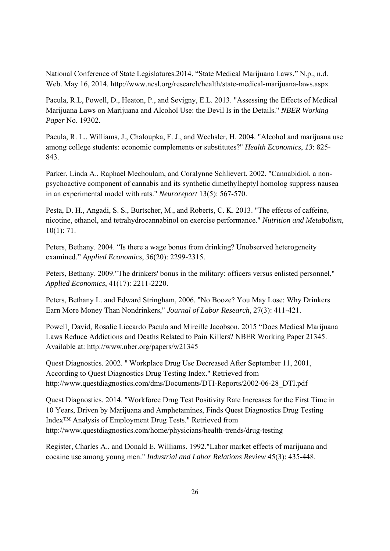National Conference of State Legislatures.2014. "State Medical Marijuana Laws." N.p., n.d. Web. May 16, 2014. http://www.ncsl.org/research/health/state-medical-marijuana-laws.aspx

Pacula, R.L, Powell, D., Heaton, P., and Sevigny, E.L. 2013. "Assessing the Effects of Medical Marijuana Laws on Marijuana and Alcohol Use: the Devil Is in the Details." *NBER Working Paper* No. 19302.

Pacula, R. L., Williams, J., Chaloupka, F. J., and Wechsler, H. 2004. "Alcohol and marijuana use among college students: economic complements or substitutes?" *Health Economics*, *13*: 825- 843.

Parker, Linda A., Raphael Mechoulam, and Coralynne Schlievert. 2002. "Cannabidiol, a nonpsychoactive component of cannabis and its synthetic dimethylheptyl homolog suppress nausea in an experimental model with rats." *Neuroreport* 13(5): 567-570.

Pesta, D. H., Angadi, S. S., Burtscher, M., and Roberts, C. K. 2013. "The effects of caffeine, nicotine, ethanol, and tetrahydrocannabinol on exercise performance." *Nutrition and Metabolism*, 10(1): 71.

Peters, Bethany. 2004. "Is there a wage bonus from drinking? Unobserved heterogeneity examined." *Applied Economics*, *36*(20): 2299-2315.

Peters, Bethany. 2009."The drinkers' bonus in the military: officers versus enlisted personnel," *Applied Economics*, 41(17): 2211-2220.

Peters, Bethany L. and Edward Stringham, 2006. "No Booze? You May Lose: Why Drinkers Earn More Money Than Nondrinkers," *Journal of Labor Research*, 27(3): 411-421.

Powell¸ David, Rosalie Liccardo Pacula and Mireille Jacobson. 2015 "Does Medical Marijuana Laws Reduce Addictions and Deaths Related to Pain Killers? NBER Working Paper 21345. Available at: http://www.nber.org/papers/w21345

Quest Diagnostics. 2002. " Workplace Drug Use Decreased After September 11, 2001, According to Quest Diagnostics Drug Testing Index." Retrieved from http://www.questdiagnostics.com/dms/Documents/DTI-Reports/2002-06-28\_DTI.pdf

Quest Diagnostics. 2014. "Workforce Drug Test Positivity Rate Increases for the First Time in 10 Years, Driven by Marijuana and Amphetamines, Finds Quest Diagnostics Drug Testing Index™ Analysis of Employment Drug Tests." Retrieved from http://www.questdiagnostics.com/home/physicians/health-trends/drug-testing

Register, Charles A., and Donald E. Williams. 1992."Labor market effects of marijuana and cocaine use among young men." *Industrial and Labor Relations Review* 45(3): 435-448.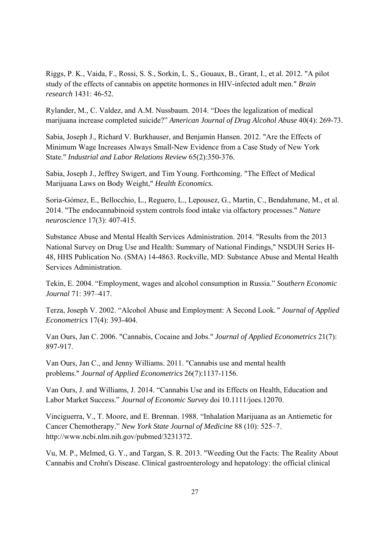Riggs, P. K., Vaida, F., Rossi, S. S., Sorkin, L. S., Gouaux, B., Grant, I., et al. 2012. "A pilot study of the effects of cannabis on appetite hormones in HIV-infected adult men." *Brain research* 1431: 46-52.

Rylander, M., C. Valdez, and A.M. Nussbaum. 2014. "Does the legalization of medical marijuana increase completed suicide?" *American Journal of Drug Alcohol Abuse* 40(4): 269-73.

Sabia, Joseph J., Richard V. Burkhauser, and Benjamin Hansen. 2012. "Are the Effects of Minimum Wage Increases Always Small-New Evidence from a Case Study of New York State." *Industrial and Labor Relations Review* 65(2):350-376.

Sabia, Joseph J., Jeffrey Swigert, and Tim Young. Forthcoming. "The Effect of Medical Marijuana Laws on Body Weight," *Health Economics.* 

Soria-Gómez, E., Bellocchio, L., Reguero, L., Lepousez, G., Martin, C., Bendahmane, M., et al. 2014. "The endocannabinoid system controls food intake via olfactory processes." *Nature neuroscience* 17(3): 407-415.

Substance Abuse and Mental Health Services Administration. 2014. "Results from the 2013 National Survey on Drug Use and Health: Summary of National Findings," NSDUH Series H-48, HHS Publication No. (SMA) 14-4863. Rockville, MD: Substance Abuse and Mental Health Services Administration.

Tekin, E. 2004. "Employment, wages and alcohol consumption in Russia." *Southern Economic Journal* 71: 397–417.

Terza, Joseph V. 2002. "Alcohol Abuse and Employment: A Second Look*." Journal of Applied Econometrics* 17(4): 393-404.

Van Ours, Jan C. 2006. "Cannabis, Cocaine and Jobs." *Journal of Applied Econometrics* 21(7): 897-917.

Van Ours, Jan C., and Jenny Williams. 2011. "Cannabis use and mental health problems." *Journal of Applied Econometrics* 26(7):1137-1156.

Van Ours, J. and Williams, J. 2014. "Cannabis Use and its Effects on Health, Education and Labor Market Success." *Journal of Economic Survey* doi 10.1111/joes.12070.

Vinciguerra, V., T. Moore, and E. Brennan. 1988. "Inhalation Marijuana as an Antiemetic for Cancer Chemotherapy." *New York State Journal of Medicine* 88 (10): 525–7. http://www.ncbi.nlm.nih.gov/pubmed/3231372.

Vu, M. P., Melmed, G. Y., and Targan, S. R. 2013. "Weeding Out the Facts: The Reality About Cannabis and Crohn's Disease. Clinical gastroenterology and hepatology: the official clinical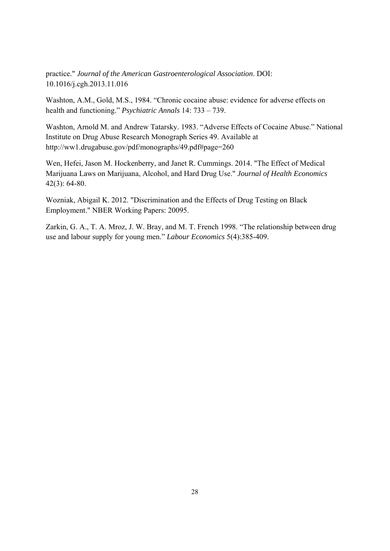practice." *Journal of the American Gastroenterological Association*. DOI: 10.1016/j.cgh.2013.11.016

Washton, A.M., Gold, M.S., 1984. "Chronic cocaine abuse: evidence for adverse effects on health and functioning." *Psychiatric Annals* 14: 733 – 739.

Washton, Arnold M. and Andrew Tatarsky. 1983. "Adverse Effects of Cocaine Abuse." National Institute on Drug Abuse Research Monograph Series 49. Available at http://ww1.drugabuse.gov/pdf/monographs/49.pdf#page=260

Wen, Hefei, Jason M. Hockenberry, and Janet R. Cummings. 2014. "The Effect of Medical Marijuana Laws on Marijuana, Alcohol, and Hard Drug Use." *Journal of Health Economics*  42(3): 64-80.

Wozniak, Abigail K. 2012. "Discrimination and the Effects of Drug Testing on Black Employment." NBER Working Papers: 20095.

Zarkin, G. A., T. A. Mroz, J. W. Bray, and M. T. French 1998. "The relationship between drug use and labour supply for young men." *Labour Economics* 5(4):385-409.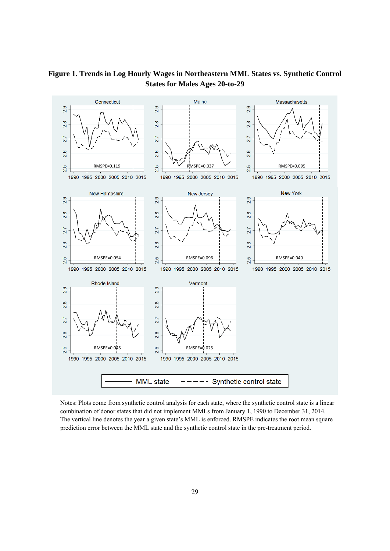

#### **Figure 1. Trends in Log Hourly Wages in Northeastern MML States vs. Synthetic Control States for Males Ages 20-to-29**

Notes: Plots come from synthetic control analysis for each state, where the synthetic control state is a linear combination of donor states that did not implement MMLs from January 1, 1990 to December 31, 2014. The vertical line denotes the year a given state's MML is enforced. RMSPE indicates the root mean square prediction error between the MML state and the synthetic control state in the pre-treatment period.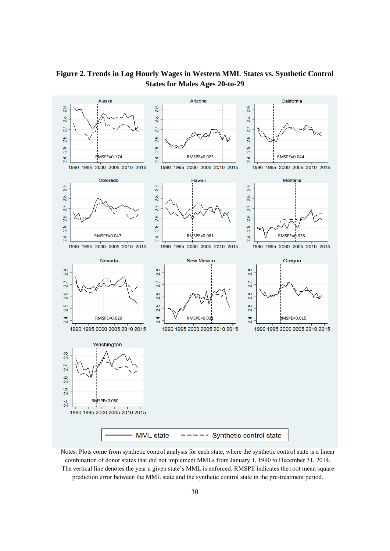

**Figure 2. Trends in Log Hourly Wages in Western MML States vs. Synthetic Control States for Males Ages 20-to-29** 

Notes: Plots come from synthetic control analysis for each state, where the synthetic control state is a linear combination of donor states that did not implement MMLs from January 1, 1990 to December 31, 2014. The vertical line denotes the year a given state's MML is enforced. RMSPE indicates the root mean square prediction error between the MML state and the synthetic control state in the pre-treatment period.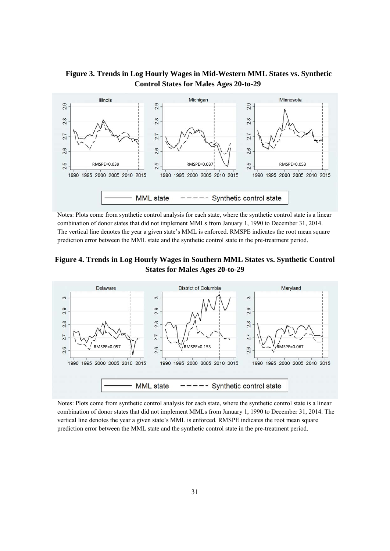



Notes: Plots come from synthetic control analysis for each state, where the synthetic control state is a linear combination of donor states that did not implement MMLs from January 1, 1990 to December 31, 2014. The vertical line denotes the year a given state's MML is enforced. RMSPE indicates the root mean square prediction error between the MML state and the synthetic control state in the pre-treatment period.





Notes: Plots come from synthetic control analysis for each state, where the synthetic control state is a linear combination of donor states that did not implement MMLs from January 1, 1990 to December 31, 2014. The vertical line denotes the year a given state's MML is enforced. RMSPE indicates the root mean square prediction error between the MML state and the synthetic control state in the pre-treatment period.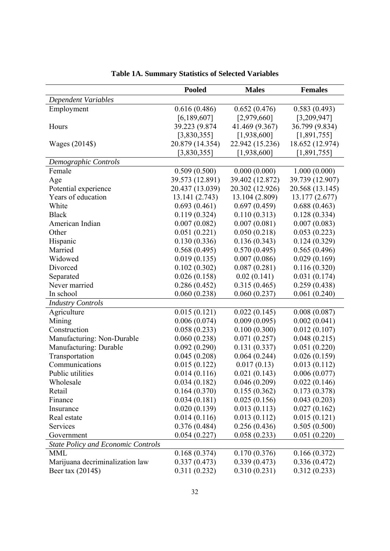|                                           | <b>Pooled</b>   | <b>Males</b>    | <b>Females</b>  |
|-------------------------------------------|-----------------|-----------------|-----------------|
| Dependent Variables                       |                 |                 |                 |
| Employment                                | 0.616(0.486)    | 0.652(0.476)    | 0.583(0.493)    |
|                                           | [6, 189, 607]   | [2,979,660]     | [3,209,947]     |
| Hours                                     | 39.223 (9.874   | 41.469 (9.367)  | 36.799 (9.834)  |
|                                           | [3,830,355]     | [1,938,600]     | [1,891,755]     |
| Wages (2014\$)                            | 20.879 (14.354) | 22.942 (15.236) | 18.652 (12.974) |
|                                           | [3,830,355]     | [1,938,600]     | [1,891,755]     |
| Demographic Controls                      |                 |                 |                 |
| Female                                    | 0.509(0.500)    | 0.000(0.000)    | 1.000(0.000)    |
| Age                                       | 39.573 (12.891) | 39.402 (12.872) | 39.739 (12.907) |
| Potential experience                      | 20.437 (13.039) | 20.302 (12.926) | 20.568 (13.145) |
| Years of education                        | 13.141 (2.743)  | 13.104 (2.809)  | 13.177 (2.677)  |
| White                                     | 0.693(0.461)    | 0.697(0.459)    | 0.688(0.463)    |
| <b>Black</b>                              | 0.119(0.324)    | 0.110(0.313)    | 0.128(0.334)    |
| American Indian                           | 0.007(0.082)    | 0.007(0.081)    | 0.007(0.083)    |
| Other                                     | 0.051(0.221)    | 0.050(0.218)    | 0.053(0.223)    |
| Hispanic                                  | 0.130(0.336)    | 0.136(0.343)    | 0.124(0.329)    |
| Married                                   | 0.568(0.495)    | 0.570(0.495)    | 0.565(0.496)    |
| Widowed                                   | 0.019(0.135)    | 0.007(0.086)    | 0.029(0.169)    |
| Divorced                                  | 0.102(0.302)    | 0.087(0.281)    | 0.116(0.320)    |
| Separated                                 | 0.026(0.158)    | 0.02(0.141)     | 0.031(0.174)    |
| Never married                             | 0.286(0.452)    | 0.315(0.465)    | 0.259(0.438)    |
| In school                                 | 0.060(0.238)    | 0.060(0.237)    | 0.061(0.240)    |
| <b>Industry Controls</b>                  |                 |                 |                 |
| Agriculture                               | 0.015(0.121)    | 0.022(0.145)    | 0.008(0.087)    |
| Mining                                    | 0.006(0.074)    | 0.009(0.095)    | 0.002(0.041)    |
| Construction                              | 0.058(0.233)    | 0.100(0.300)    | 0.012(0.107)    |
| Manufacturing: Non-Durable                | 0.060(0.238)    | 0.071(0.257)    | 0.048(0.215)    |
| Manufacturing: Durable                    | 0.092(0.290)    | 0.131(0.337)    | 0.051(0.220)    |
| Transportation                            | 0.045(0.208)    | 0.064(0.244)    | 0.026(0.159)    |
| Communications                            | 0.015(0.122)    | 0.017(0.13)     | 0.013(0.112)    |
| Public utilities                          | 0.014(0.116)    | 0.021(0.143)    | 0.006(0.077)    |
| Wholesale                                 | 0.034(0.182)    | 0.046(0.209)    | 0.022(0.146)    |
| Retail                                    | 0.164(0.370)    | 0.155(0.362)    | 0.173(0.378)    |
| Finance                                   | 0.034(0.181)    | 0.025(0.156)    | 0.043(0.203)    |
| Insurance                                 | 0.020(0.139)    | 0.013(0.113)    | 0.027(0.162)    |
| Real estate                               | 0.014(0.116)    | 0.013(0.112)    | 0.015(0.121)    |
| Services                                  | 0.376(0.484)    | 0.256(0.436)    | 0.505(0.500)    |
| Government                                | 0.054(0.227)    | 0.058(0.233)    | 0.051(0.220)    |
| <b>State Policy and Economic Controls</b> |                 |                 |                 |
| <b>MML</b>                                | 0.168(0.374)    | 0.170(0.376)    | 0.166(0.372)    |
| Marijuana decriminalization law           | 0.337(0.473)    | 0.339(0.473)    | 0.336(0.472)    |
| Beer tax (2014\$)                         | 0.311(0.232)    | 0.310(0.231)    | 0.312(0.233)    |

| <b>Table 1A. Summary Statistics of Selected Variables</b> |  |
|-----------------------------------------------------------|--|
|-----------------------------------------------------------|--|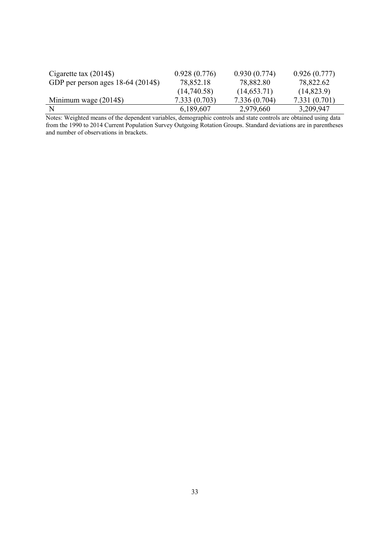| Cigarette tax $(2014\$             | 0.928(0.776) | 0.930(0.774) | 0.926(0.777)  |
|------------------------------------|--------------|--------------|---------------|
| GDP per person ages 18-64 (2014\$) | 78,852.18    | 78,882.80    | 78,822.62     |
|                                    | (14,740.58)  | (14, 653.71) | (14, 823.9)   |
| Minimum wage $(2014\$ )            | 7.333(0.703) | 7.336(0.704) | 7.331 (0.701) |
|                                    | 6,189,607    | 2,979,660    | 3,209,947     |

Notes: Weighted means of the dependent variables, demographic controls and state controls are obtained using data from the 1990 to 2014 Current Population Survey Outgoing Rotation Groups. Standard deviations are in parentheses and number of observations in brackets.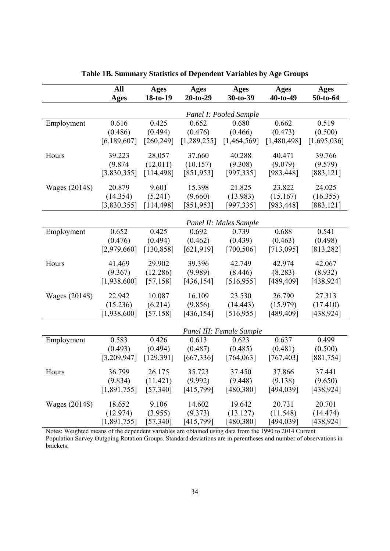|                | All           | <b>Ages</b> | <b>Ages</b>   | <b>Ages</b>              | Ages        | Ages        |
|----------------|---------------|-------------|---------------|--------------------------|-------------|-------------|
|                | Ages          | 18-to-19    | $20-to-29$    | 30-to-39                 | $40-to-49$  | 50-to-64    |
|                |               |             |               | Panel I: Pooled Sample   |             |             |
| Employment     | 0.616         | 0.425       | 0.652         | 0.680                    | 0.662       | 0.519       |
|                | (0.486)       | (0.494)     | (0.476)       | (0.466)                  | (0.473)     | (0.500)     |
|                | [6, 189, 607] | [260, 249]  | [1, 289, 255] | [1,464,569]              | [1,480,498] | [1,695,036] |
| Hours          | 39.223        | 28.057      | 37.660        | 40.288                   | 40.471      | 39.766      |
|                | (9.874)       | (12.011)    | (10.157)      | (9.308)                  | (9.079)     | (9.579)     |
|                | [3,830,355]   | [114, 498]  | [851,953]     | [997, 335]               | [983, 448]  | [883, 121]  |
| Wages (2014\$) | 20.879        | 9.601       | 15.398        | 21.825                   | 23.822      | 24.025      |
|                | (14.354)      | (5.241)     | (9.660)       | (13.983)                 | (15.167)    | (16.355)    |
|                | [3,830,355]   | [114, 498]  | [851, 953]    | [997, 335]               | [983, 448]  | [883, 121]  |
|                |               |             |               | Panel II: Males Sample   |             |             |
| Employment     | 0.652         | 0.425       | 0.692         | 0.739                    | 0.688       | 0.541       |
|                | (0.476)       | (0.494)     | (0.462)       | (0.439)                  | (0.463)     | (0.498)     |
|                | [2,979,660]   | [130, 858]  | [621, 919]    | [700, 506]               | [713,095]   | [813, 282]  |
| Hours          | 41.469        | 29.902      | 39.396        | 42.749                   | 42.974      | 42.067      |
|                | (9.367)       | (12.286)    | (9.989)       | (8.446)                  | (8.283)     | (8.932)     |
|                | [1,938,600]   | [57, 158]   | [436, 154]    | [516, 955]               | [489,409]   | [438, 924]  |
| Wages (2014\$) | 22.942        | 10.087      | 16.109        | 23.530                   | 26.790      | 27.313      |
|                | (15.236)      | (6.214)     | (9.856)       | (14.443)                 | (15.979)    | (17.410)    |
|                | [1,938,600]   | [57, 158]   | [436, 154]    | [516, 955]               | [489,409]   | [438, 924]  |
|                |               |             |               | Panel III: Female Sample |             |             |
| Employment     | 0.583         | 0.426       | 0.613         | 0.623                    | 0.637       | 0.499       |
|                | (0.493)       | (0.494)     | (0.487)       | (0.485)                  | (0.481)     | (0.500)     |
|                | [3,209,947]   | [129, 391]  | [667, 336]    | [764, 063]               | [767, 403]  | [881,754]   |
| Hours          | 36.799        | 26.175      | 35.723        | 37.450                   | 37.866      | 37.441      |
|                | (9.834)       | (11.421)    | (9.992)       | (9.448)                  | (9.138)     | (9.650)     |
|                | [1,891,755]   | [57, 340]   | [415,799]     | [480, 380]               | [494, 039]  | [438, 924]  |
| Wages (2014\$) | 18.652        | 9.106       | 14.602        | 19.642                   | 20.731      | 20.701      |
|                | (12.974)      | (3.955)     | (9.373)       | (13.127)                 | (11.548)    | (14.474)    |
|                | [1,891,755]   | [57,340]    | [415,799]     | [480, 380]               | [494, 039]  | [438, 924]  |

**Table 1B. Summary Statistics of Dependent Variables by Age Groups** 

Notes: Weighted means of the dependent variables are obtained using data from the 1990 to 2014 Current Population Survey Outgoing Rotation Groups. Standard deviations are in parentheses and number of observations in brackets.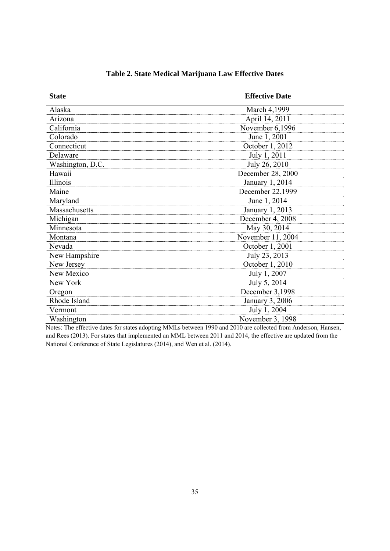| <b>State</b>     | <b>Effective Date</b> |
|------------------|-----------------------|
| Alaska           | March 4,1999          |
| Arizona          | April 14, 2011        |
| California       | November 6,1996       |
| Colorado         | June 1, 2001          |
| Connecticut      | October 1, 2012       |
| Delaware         | July 1, 2011          |
| Washington, D.C. | July 26, 2010         |
| Hawaii           | December 28, 2000     |
| Illinois         | January 1, 2014       |
| Maine            | December 22,1999      |
| Maryland         | June 1, 2014          |
| Massachusetts    | January 1, 2013       |
| Michigan         | December 4, 2008      |
| Minnesota        | May 30, 2014          |
| Montana          | November 11, 2004     |
| Nevada           | October 1, 2001       |
| New Hampshire    | July 23, 2013         |
| New Jersey       | October 1, 2010       |
| New Mexico       | July 1, 2007          |
| New York         | July 5, 2014          |
| Oregon           | December 3,1998       |
| Rhode Island     | January 3, 2006       |
| Vermont          | July 1, 2004          |
| Washington       | November 3, 1998      |

**Table 2. State Medical Marijuana Law Effective Dates** 

Notes: The effective dates for states adopting MMLs between 1990 and 2010 are collected from Anderson, Hansen, and Rees (2013). For states that implemented an MML between 2011 and 2014, the effective are updated from the National Conference of State Legislatures (2014), and Wen et al. (2014).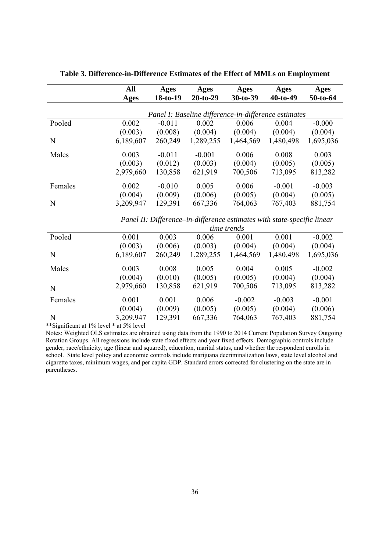|         | All<br>Ages | Ages<br>18-to-19 | Ages<br>$20-to-29$ | Ages<br>$30-to-39$                                   | Ages<br>$40-to-49$ | Ages<br>50-to-64 |
|---------|-------------|------------------|--------------------|------------------------------------------------------|--------------------|------------------|
|         |             |                  |                    | Panel I: Baseline difference-in-difference estimates |                    |                  |
| Pooled  | 0.002       | $-0.011$         | 0.002              | 0.006                                                | 0.004              | $-0.000$         |
|         | (0.003)     | (0.008)          | (0.004)            | (0.004)                                              | (0.004)            | (0.004)          |
| N       | 6,189,607   | 260,249          | 1,289,255          | 1,464,569                                            | 1,480,498          | 1,695,036        |
| Males   | 0.003       | $-0.011$         | $-0.001$           | 0.006                                                | 0.008              | 0.003            |
|         | (0.003)     | (0.012)          | (0.003)            | (0.004)                                              | (0.005)            | (0.005)          |
|         | 2,979,660   | 130,858          | 621,919            | 700,506                                              | 713,095            | 813,282          |
| Females | 0.002       | $-0.010$         | 0.005              | 0.006                                                | $-0.001$           | $-0.003$         |
|         | (0.004)     | (0.009)          | (0.006)            | (0.005)                                              | (0.004)            | (0.005)          |
| N       | 3,209,947   | 129,391          | 667,336            | 764,063                                              | 767,403            | 881,754          |

**Table 3. Difference-in-Difference Estimates of the Effect of MMLs on Employment** 

*Panel II: Difference–in-difference estimates with state-specific linear* 

|         | time trends |         |           |           |           |           |
|---------|-------------|---------|-----------|-----------|-----------|-----------|
| Pooled  | 0.001       | 0.003   | 0.006     | 0.001     | 0.001     | $-0.002$  |
|         | (0.003)     | (0.006) | (0.003)   | (0.004)   | (0.004)   | (0.004)   |
| N       | 6,189,607   | 260,249 | 1,289,255 | 1,464,569 | 1,480,498 | 1,695,036 |
| Males   | 0.003       | 0.008   | 0.005     | 0.004     | 0.005     | $-0.002$  |
|         | (0.004)     | (0.010) | (0.005)   | (0.005)   | (0.004)   | (0.004)   |
| N       | 2,979,660   | 130,858 | 621,919   | 700,506   | 713,095   | 813,282   |
| Females | 0.001       | 0.001   | 0.006     | $-0.002$  | $-0.003$  | $-0.001$  |
|         | (0.004)     | (0.009) | (0.005)   | (0.005)   | (0.004)   | (0.006)   |
| N       | 3,209,947   | 129,391 | 667,336   | 764,063   | 767,403   | 881,754   |

\*\*Significant at 1% level \* at 5% level

Notes: Weighted OLS estimates are obtained using data from the 1990 to 2014 Current Population Survey Outgoing Rotation Groups. All regressions include state fixed effects and year fixed effects. Demographic controls include gender, race/ethnicity, age (linear and squared), education, marital status, and whether the respondent enrolls in school. State level policy and economic controls include marijuana decriminalization laws, state level alcohol and cigarette taxes, minimum wages, and per capita GDP. Standard errors corrected for clustering on the state are in parentheses.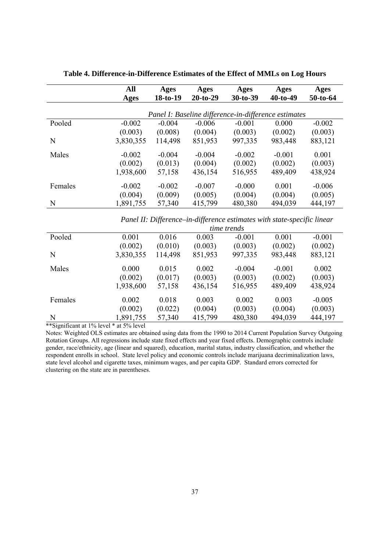|         | All<br>Ages | Ages<br>$18-to-19$ | Ages<br>$20-to-29$ | Ages<br>$30-to-39$                                   | Ages<br>$40-to-49$ | Ages<br>$50-to-64$ |
|---------|-------------|--------------------|--------------------|------------------------------------------------------|--------------------|--------------------|
|         |             |                    |                    | Panel I: Baseline difference-in-difference estimates |                    |                    |
| Pooled  | $-0.002$    | $-0.004$           | $-0.006$           | $-0.001$                                             | 0.000              | $-0.002$           |
|         | (0.003)     | (0.008)            | (0.004)            | (0.003)                                              | (0.002)            | (0.003)            |
| N       | 3,830,355   | 114,498            | 851,953            | 997,335                                              | 983,448            | 883,121            |
| Males   | $-0.002$    | $-0.004$           | $-0.004$           | $-0.002$                                             | $-0.001$           | 0.001              |
|         | (0.002)     | (0.013)            | (0.004)            | (0.002)                                              | (0.002)            | (0.003)            |
|         | 1,938,600   | 57,158             | 436,154            | 516,955                                              | 489,409            | 438,924            |
| Females | $-0.002$    | $-0.002$           | $-0.007$           | $-0.000$                                             | 0.001              | $-0.006$           |
|         | (0.004)     | (0.009)            | (0.005)            | (0.004)                                              | (0.004)            | (0.005)            |
| N       | 1,891,755   | 57,340             | 415,799            | 480,380                                              | 494,039            | 444,197            |

**Table 4. Difference-in-Difference Estimates of the Effect of MMLs on Log Hours** 

*Panel II: Difference–in-difference estimates with state-specific linear* 

|         | <i>time trends</i> |         |         |          |          |          |
|---------|--------------------|---------|---------|----------|----------|----------|
| Pooled  | 0.001              | 0.016   | 0.003   | $-0.001$ | 0.001    | $-0.001$ |
|         | (0.002)            | (0.010) | (0.003) | (0.003)  | (0.002)  | (0.002)  |
| N       | 3,830,355          | 114,498 | 851,953 | 997,335  | 983,448  | 883,121  |
| Males   | 0.000              | 0.015   | 0.002   | $-0.004$ | $-0.001$ | 0.002    |
|         | (0.002)            | (0.017) | (0.003) | (0.003)  | (0.002)  | (0.003)  |
|         | 1,938,600          | 57,158  | 436,154 | 516,955  | 489,409  | 438,924  |
| Females | 0.002              | 0.018   | 0.003   | 0.002    | 0.003    | $-0.005$ |
|         | (0.002)            | (0.022) | (0.004) | (0.003)  | (0.004)  | (0.003)  |
| N       | 1,891,755          | 57,340  | 415,799 | 480,380  | 494,039  | 444,197  |

\*\*Significant at 1% level \* at 5% level

Notes: Weighted OLS estimates are obtained using data from the 1990 to 2014 Current Population Survey Outgoing Rotation Groups. All regressions include state fixed effects and year fixed effects. Demographic controls include gender, race/ethnicity, age (linear and squared), education, marital status, industry classification, and whether the respondent enrolls in school. State level policy and economic controls include marijuana decriminalization laws, state level alcohol and cigarette taxes, minimum wages, and per capita GDP. Standard errors corrected for clustering on the state are in parentheses.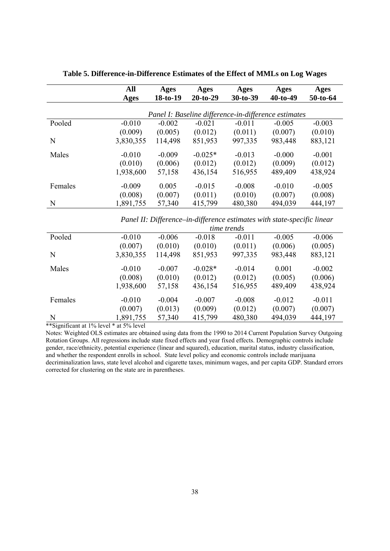|         | All<br>Ages | Ages<br>$18-to-19$ | Ages<br>$20-to-29$ | Ages<br>$30-to-39$                                   | Ages<br>$40-to-49$ | Ages<br>50-to-64 |
|---------|-------------|--------------------|--------------------|------------------------------------------------------|--------------------|------------------|
|         |             |                    |                    | Panel I: Baseline difference-in-difference estimates |                    |                  |
| Pooled  | $-0.010$    | $-0.002$           | $-0.021$           | $-0.011$                                             | $-0.005$           | $-0.003$         |
|         | (0.009)     | (0.005)            | (0.012)            | (0.011)                                              | (0.007)            | (0.010)          |
| N       | 3,830,355   | 114,498            | 851,953            | 997,335                                              | 983,448            | 883,121          |
| Males   | $-0.010$    | $-0.009$           | $-0.025*$          | $-0.013$                                             | $-0.000$           | $-0.001$         |
|         | (0.010)     | (0.006)            | (0.012)            | (0.012)                                              | (0.009)            | (0.012)          |
|         | 1,938,600   | 57,158             | 436,154            | 516,955                                              | 489,409            | 438,924          |
| Females | $-0.009$    | 0.005              | $-0.015$           | $-0.008$                                             | $-0.010$           | $-0.005$         |
|         | (0.008)     | (0.007)            | (0.011)            | (0.010)                                              | (0.007)            | (0.008)          |
| N       | 1,891,755   | 57,340             | 415,799            | 480,380                                              | 494,039            | 444,197          |

**Table 5. Difference-in-Difference Estimates of the Effect of MMLs on Log Wages** 

*Panel II: Difference–in-difference estimates with state-specific linear* 

|         | <i>time trends</i> |          |           |          |          |          |
|---------|--------------------|----------|-----------|----------|----------|----------|
| Pooled  | $-0.010$           | $-0.006$ | $-0.018$  | $-0.011$ | $-0.005$ | $-0.006$ |
|         | (0.007)            | (0.010)  | (0.010)   | (0.011)  | (0.006)  | (0.005)  |
| N       | 3,830,355          | 114,498  | 851,953   | 997,335  | 983,448  | 883,121  |
| Males   | $-0.010$           | $-0.007$ | $-0.028*$ | $-0.014$ | 0.001    | $-0.002$ |
|         | (0.008)            | (0.010)  | (0.012)   | (0.012)  | (0.005)  | (0.006)  |
|         | 1,938,600          | 57,158   | 436,154   | 516,955  | 489,409  | 438,924  |
| Females | $-0.010$           | $-0.004$ | $-0.007$  | $-0.008$ | $-0.012$ | $-0.011$ |
|         | (0.007)            | (0.013)  | (0.009)   | (0.012)  | (0.007)  | (0.007)  |
| N       | 1,891,755          | 57,340   | 415,799   | 480,380  | 494,039  | 444,197  |

\*\*Significant at 1% level \* at 5% level

Notes: Weighted OLS estimates are obtained using data from the 1990 to 2014 Current Population Survey Outgoing Rotation Groups. All regressions include state fixed effects and year fixed effects. Demographic controls include gender, race/ethnicity, potential experience (linear and squared), education, marital status, industry classification, and whether the respondent enrolls in school. State level policy and economic controls include marijuana decriminalization laws, state level alcohol and cigarette taxes, minimum wages, and per capita GDP. Standard errors corrected for clustering on the state are in parentheses.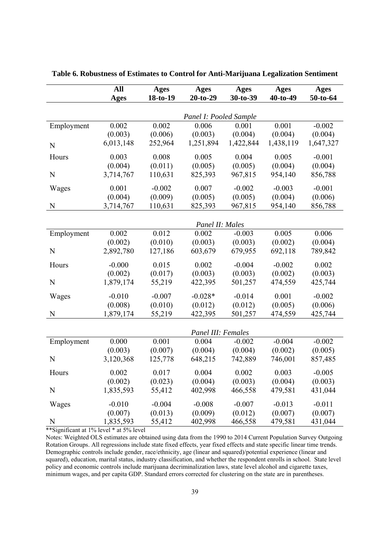|            | All                  | <b>Ages</b> | <b>Ages</b>            | Ages                 | <b>Ages</b>          | <b>Ages</b> |  |
|------------|----------------------|-------------|------------------------|----------------------|----------------------|-------------|--|
|            | <b>Ages</b>          | 18-to-19    | $20-to-29$             | 30-to-39             | $40-to-49$           | 50-to-64    |  |
|            |                      |             |                        |                      |                      |             |  |
|            |                      |             | Panel I: Pooled Sample |                      |                      |             |  |
| Employment | 0.002                | 0.002       | 0.006                  | 0.001                | 0.001                | $-0.002$    |  |
|            | (0.003)<br>6,013,148 | (0.006)     | (0.003)<br>1,251,894   | (0.004)<br>1,422,844 | (0.004)<br>1,438,119 | (0.004)     |  |
| N          |                      | 252,964     |                        |                      |                      | 1,647,327   |  |
| Hours      | 0.003                | 0.008       | 0.005                  | 0.004                | 0.005                | $-0.001$    |  |
|            | (0.004)              | (0.011)     | (0.005)                | (0.005)              | (0.004)              | (0.004)     |  |
| N          | 3,714,767            | 110,631     | 825,393                | 967,815              | 954,140              | 856,788     |  |
| Wages      | 0.001                | $-0.002$    | 0.007                  | $-0.002$             | $-0.003$             | $-0.001$    |  |
|            | (0.004)              | (0.009)     | (0.005)                | (0.005)              | (0.004)              | (0.006)     |  |
| N          | 3,714,767            | 110,631     | 825,393                | 967,815              | 954,140              | 856,788     |  |
|            |                      |             |                        |                      |                      |             |  |
|            |                      |             | Panel II: Males        |                      |                      |             |  |
| Employment | 0.002                | 0.012       | 0.002                  | $-0.003$             | 0.005                | 0.006       |  |
|            | (0.002)              | (0.010)     | (0.003)                | (0.003)              | (0.002)              | (0.004)     |  |
| N          | 2,892,780            | 127,186     | 603,679                | 679,955              | 692,118              | 789,842     |  |
| Hours      | $-0.000$             | 0.015       | 0.002                  | $-0.004$             | $-0.002$             | 0.002       |  |
|            | (0.002)              | (0.017)     | (0.003)                | (0.003)              | (0.002)              | (0.003)     |  |
| N          | 1,879,174            | 55,219      | 422,395                | 501,257              | 474,559              | 425,744     |  |
| Wages      | $-0.010$             | $-0.007$    | $-0.028*$              | $-0.014$             | 0.001                | $-0.002$    |  |
|            | (0.008)              | (0.010)     | (0.012)                | (0.012)              | (0.005)              | (0.006)     |  |
| N          | 1,879,174            | 55,219      | 422,395                | 501,257              | 474,559              | 425,744     |  |
|            |                      |             |                        |                      |                      |             |  |
|            |                      |             | Panel III: Females     |                      |                      |             |  |
| Employment | 0.000                | 0.001       | 0.004                  | $-0.002$             | $-0.004$             | $-0.002$    |  |
|            | (0.003)              | (0.007)     | (0.004)                | (0.004)              | (0.002)              | (0.005)     |  |
| N          | 3,120,368            | 125,778     | 648,215                | 742,889              | 746,001              | 857,485     |  |
| Hours      | 0.002                | 0.017       | 0.004                  | 0.002                | 0.003                | $-0.005$    |  |
|            | (0.002)              | (0.023)     | (0.004)                | (0.003)              | (0.004)              | (0.003)     |  |
| N          | 1,835,593            | 55,412      | 402,998                | 466,558              | 479,581              | 431,044     |  |
| Wages      | $-0.010$             | $-0.004$    | $-0.008$               | $-0.007$             | $-0.013$             | $-0.011$    |  |
|            | (0.007)              | (0.013)     | (0.009)                | (0.012)              | (0.007)              | (0.007)     |  |
| N          | 1,835,593            | 55,412      | 402,998                | 466,558              | 479,581              | 431,044     |  |

**Table 6. Robustness of Estimates to Control for Anti-Marijuana Legalization Sentiment** 

\*\*Significant at 1% level \* at 5% level

Notes: Weighted OLS estimates are obtained using data from the 1990 to 2014 Current Population Survey Outgoing Rotation Groups. All regressions include state fixed effects, year fixed effects and state specific linear time trends. Demographic controls include gender, race/ethnicity, age (linear and squared)/potential experience (linear and squared), education, marital status, industry classification, and whether the respondent enrolls in school. State level policy and economic controls include marijuana decriminalization laws, state level alcohol and cigarette taxes, minimum wages, and per capita GDP. Standard errors corrected for clustering on the state are in parentheses.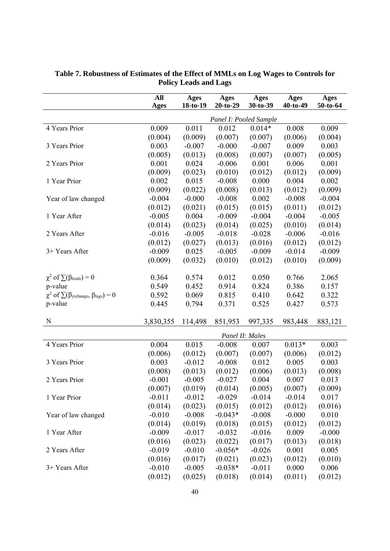|                                                                      | All         | <b>Ages</b> | <b>Ages</b>     | <b>Ages</b>            | <b>Ages</b> | <b>Ages</b> |
|----------------------------------------------------------------------|-------------|-------------|-----------------|------------------------|-------------|-------------|
|                                                                      | <b>Ages</b> | 18-to-19    | $20-to-29$      | 30-to-39               | 40-to-49    | 50-to-64    |
|                                                                      |             |             |                 | Panel I: Pooled Sample |             |             |
| 4 Years Prior                                                        | 0.009       | 0.011       | 0.012           | $0.014*$               | 0.008       | 0.009       |
|                                                                      | (0.004)     | (0.009)     | (0.007)         | (0.007)                | (0.006)     | (0.004)     |
| 3 Years Prior                                                        | 0.003       | $-0.007$    | $-0.000$        | $-0.007$               | 0.009       | 0.003       |
|                                                                      | (0.005)     | (0.013)     | (0.008)         | (0.007)                | (0.007)     | (0.005)     |
| 2 Years Prior                                                        | 0.001       | 0.024       | $-0.006$        | 0.001                  | 0.006       | 0.001       |
|                                                                      | (0.009)     | (0.023)     | (0.010)         | (0.012)                | (0.012)     | (0.009)     |
| 1 Year Prior                                                         | 0.002       | 0.015       | $-0.008$        | 0.000                  | 0.004       | 0.002       |
|                                                                      | (0.009)     | (0.022)     | (0.008)         | (0.013)                | (0.012)     | (0.009)     |
| Year of law changed                                                  | $-0.004$    | $-0.000$    | $-0.008$        | 0.002                  | $-0.008$    | $-0.004$    |
|                                                                      | (0.012)     | (0.021)     | (0.015)         | (0.015)                | (0.011)     | (0.012)     |
| 1 Year After                                                         | $-0.005$    | 0.004       | $-0.009$        | $-0.004$               | $-0.004$    | $-0.005$    |
|                                                                      | (0.014)     | (0.023)     | (0.014)         | (0.025)                | (0.010)     | (0.014)     |
| 2 Years After                                                        | $-0.016$    | $-0.005$    | $-0.018$        | $-0.028$               | $-0.006$    | $-0.016$    |
|                                                                      | (0.012)     | (0.027)     | (0.013)         | (0.016)                | (0.012)     | (0.012)     |
| 3+ Years After                                                       | $-0.009$    | 0.025       | $-0.005$        | $-0.009$               | $-0.014$    | $-0.009$    |
|                                                                      | (0.009)     | (0.032)     | (0.010)         | (0.012)                | (0.010)     | (0.009)     |
|                                                                      |             |             |                 |                        |             |             |
| $\chi^2$ of $\sum(\beta_{\text{leads}})=0$                           | 0.364       | 0.574       | 0.012           | 0.050                  | 0.766       | 2.065       |
| p-value                                                              | 0.549       | 0.452       | 0.914           | 0.824                  | 0.386       | 0.157       |
| $\chi^2$ of $\sum(\beta_{\text{yrchange}}, \beta_{\text{lags}}) = 0$ | 0.592       | 0.069       | 0.815           | 0.410                  | 0.642       | 0.322       |
| p-value                                                              | 0.445       | 0.794       | 0.371           | 0.525                  | 0.427       | 0.573       |
| N                                                                    | 3,830,355   | 114,498     | 851,953         | 997,335                | 983,448     | 883,121     |
|                                                                      |             |             | Panel II: Males |                        |             |             |
| 4 Years Prior                                                        | 0.004       | 0.015       | $-0.008$        | 0.007                  | $0.013*$    | 0.003       |
|                                                                      | (0.006)     | (0.012)     | (0.007)         | (0.007)                | (0.006)     | (0.012)     |
| 3 Years Prior                                                        | 0.003       | $-0.012$    | $-0.008$        | 0.012                  | 0.005       | 0.003       |
|                                                                      | (0.008)     | (0.013)     | (0.012)         | (0.006)                | (0.013)     | (0.008)     |
| 2 Years Prior                                                        | $-0.001$    | $-0.005$    | $-0.027$        | 0.004                  | 0.007       | 0.013       |
|                                                                      | (0.007)     | (0.019)     | (0.014)         | (0.005)                | (0.007)     | (0.009)     |
| 1 Year Prior                                                         | $-0.011$    | $-0.012$    | $-0.029$        | $-0.014$               | $-0.014$    | 0.017       |
|                                                                      | (0.014)     | (0.023)     | (0.015)         | (0.012)                | (0.012)     | (0.016)     |
| Year of law changed                                                  | $-0.010$    | $-0.008$    | $-0.043*$       | $-0.008$               | $-0.000$    | 0.010       |
|                                                                      | (0.014)     | (0.019)     | (0.018)         | (0.015)                | (0.012)     | (0.012)     |
| 1 Year After                                                         | $-0.009$    | $-0.017$    | $-0.032$        | $-0.016$               | 0.009       | $-0.000$    |
|                                                                      | (0.016)     | (0.023)     | (0.022)         | (0.017)                | (0.013)     | (0.018)     |
| 2 Years After                                                        | $-0.019$    | $-0.010$    | $-0.056*$       | $-0.026$               | 0.001       | 0.005       |
|                                                                      | (0.016)     | (0.017)     | (0.021)         | (0.023)                | (0.012)     | (0.010)     |
| 3+ Years After                                                       | $-0.010$    | $-0.005$    | $-0.038*$       | $-0.011$               | 0.000       | 0.006       |
|                                                                      | (0.012)     | (0.025)     | (0.018)         | (0.014)                | (0.011)     | (0.012)     |

#### **Table 7. Robustness of Estimates of the Effect of MMLs on Log Wages to Controls for Policy Leads and Lags**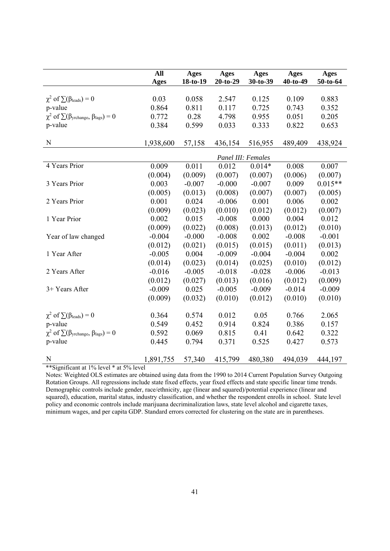|                                                                      | All<br><b>Ages</b> | Ages<br>18-to-19 | <b>Ages</b><br>$20-to-29$ | <b>Ages</b><br>30-to-39 | <b>Ages</b><br>40-to-49 | <b>Ages</b><br>50-to-64 |
|----------------------------------------------------------------------|--------------------|------------------|---------------------------|-------------------------|-------------------------|-------------------------|
|                                                                      |                    |                  |                           |                         |                         |                         |
| $\chi^2$ of $\sum(\beta_{\text{leads}})=0$                           | 0.03               | 0.058            | 2.547                     | 0.125                   | 0.109                   | 0.883                   |
| p-value                                                              | 0.864              | 0.811            | 0.117                     | 0.725                   | 0.743                   | 0.352                   |
| $\chi^2$ of $\sum(\beta_{\text{yrehange}}, \beta_{\text{lags}}) = 0$ | 0.772              | 0.28             | 4.798                     | 0.955                   | 0.051                   | 0.205                   |
| p-value                                                              | 0.384              | 0.599            | 0.033                     | 0.333                   | 0.822                   | 0.653                   |
|                                                                      |                    |                  |                           |                         |                         |                         |
| $\mathbf N$                                                          | 1,938,600          | 57,158           | 436,154                   | 516,955                 | 489,409                 | 438,924                 |
|                                                                      |                    |                  | Panel III: Females        |                         |                         |                         |
| 4 Years Prior                                                        | 0.009              | 0.011            | 0.012                     | $0.014*$                | 0.008                   | 0.007                   |
|                                                                      | (0.004)            | (0.009)          | (0.007)                   | (0.007)                 | (0.006)                 | (0.007)                 |
| 3 Years Prior                                                        | 0.003              | $-0.007$         | $-0.000$                  | $-0.007$                | 0.009                   | $0.015**$               |
|                                                                      | (0.005)            | (0.013)          | (0.008)                   | (0.007)                 | (0.007)                 | (0.005)                 |
| 2 Years Prior                                                        | 0.001              | 0.024            | $-0.006$                  | 0.001                   | 0.006                   | 0.002                   |
|                                                                      | (0.009)            | (0.023)          | (0.010)                   | (0.012)                 | (0.012)                 | (0.007)                 |
| 1 Year Prior                                                         | 0.002              | 0.015            | $-0.008$                  | 0.000                   | 0.004                   | 0.012                   |
|                                                                      | (0.009)            | (0.022)          | (0.008)                   | (0.013)                 | (0.012)                 | (0.010)                 |
| Year of law changed                                                  | $-0.004$           | $-0.000$         | $-0.008$                  | 0.002                   | $-0.008$                | $-0.001$                |
|                                                                      | (0.012)            | (0.021)          | (0.015)                   | (0.015)                 | (0.011)                 | (0.013)                 |
| 1 Year After                                                         | $-0.005$           | 0.004            | $-0.009$                  | $-0.004$                | $-0.004$                | 0.002                   |
|                                                                      | (0.014)            | (0.023)          | (0.014)                   | (0.025)                 | (0.010)                 | (0.012)                 |
| 2 Years After                                                        | $-0.016$           | $-0.005$         | $-0.018$                  | $-0.028$                | $-0.006$                | $-0.013$                |
|                                                                      | (0.012)            | (0.027)          | (0.013)                   | (0.016)                 | (0.012)                 | (0.009)                 |
| 3+ Years After                                                       | $-0.009$           | 0.025            | $-0.005$                  | $-0.009$                | $-0.014$                | $-0.009$                |
|                                                                      | (0.009)            | (0.032)          | (0.010)                   | (0.012)                 | (0.010)                 | (0.010)                 |
| $\chi^2$ of $\sum(\beta_{\text{leads}})=0$                           | 0.364              | 0.574            | 0.012                     | 0.05                    | 0.766                   | 2.065                   |
| p-value                                                              | 0.549              | 0.452            | 0.914                     | 0.824                   | 0.386                   | 0.157                   |
| $\chi^2$ of $\sum(\beta_{\text{yrchange}}, \beta_{\text{lags}}) = 0$ | 0.592              | 0.069            | 0.815                     | 0.41                    | 0.642                   | 0.322                   |
| p-value                                                              | 0.445              | 0.794            | 0.371                     | 0.525                   | 0.427                   | 0.573                   |
|                                                                      |                    |                  |                           |                         |                         |                         |
| N                                                                    | 1,891,755          | 57,340           | 415,799                   | 480,380                 | 494,039                 | 444,197                 |

\*\*Significant at 1% level \* at 5% level

Notes: Weighted OLS estimates are obtained using data from the 1990 to 2014 Current Population Survey Outgoing Rotation Groups. All regressions include state fixed effects, year fixed effects and state specific linear time trends. Demographic controls include gender, race/ethnicity, age (linear and squared)/potential experience (linear and squared), education, marital status, industry classification, and whether the respondent enrolls in school. State level policy and economic controls include marijuana decriminalization laws, state level alcohol and cigarette taxes, minimum wages, and per capita GDP. Standard errors corrected for clustering on the state are in parentheses.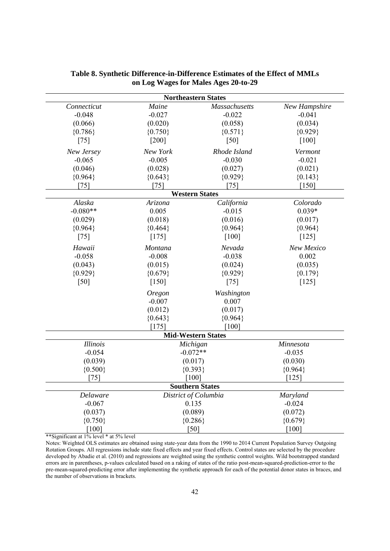| <b>Northeastern States</b> |               |                           |               |  |  |  |  |  |
|----------------------------|---------------|---------------------------|---------------|--|--|--|--|--|
| Connecticut                | Maine         | <b>Massachusetts</b>      | New Hampshire |  |  |  |  |  |
| $-0.048$                   | $-0.027$      | $-0.022$                  | $-0.041$      |  |  |  |  |  |
| (0.066)                    | (0.020)       | (0.058)                   | (0.034)       |  |  |  |  |  |
| ${0.786}$                  | ${0.750}$     | ${0.571}$                 | ${0.929}$     |  |  |  |  |  |
| $[75]$                     | $[200]$       | [50]                      | $[100]$       |  |  |  |  |  |
| New Jersey                 | New York      | Rhode Island              | Vermont       |  |  |  |  |  |
| $-0.065$                   | $-0.005$      | $-0.030$                  | $-0.021$      |  |  |  |  |  |
| (0.046)                    | (0.028)       | (0.027)                   | (0.021)       |  |  |  |  |  |
| ${0.964}$                  | ${0.643}$     | ${0.929}$                 | ${0.143}$     |  |  |  |  |  |
| $[75]$                     | [75]          | [75]                      | $[150]$       |  |  |  |  |  |
|                            |               | <b>Western States</b>     |               |  |  |  |  |  |
| Alaska                     | Arizona       | California                | Colorado      |  |  |  |  |  |
| $-0.080**$                 | 0.005         | $-0.015$                  | $0.039*$      |  |  |  |  |  |
| (0.029)                    | (0.018)       | (0.016)                   | (0.017)       |  |  |  |  |  |
| ${0.964}$                  | ${0.464}$     | ${0.964}$                 | ${0.964}$     |  |  |  |  |  |
| $[75]$                     | [175]         | [100]                     | $[125]$       |  |  |  |  |  |
| Hawaii                     | Montana       | Nevada                    | New Mexico    |  |  |  |  |  |
| $-0.058$                   | $-0.008$      | $-0.038$                  | 0.002         |  |  |  |  |  |
| (0.043)                    | (0.015)       | (0.024)                   | (0.035)       |  |  |  |  |  |
| ${0.929}$                  | ${0.679}$     | ${0.929}$                 | ${0.179}$     |  |  |  |  |  |
| [50]                       | $[150]$       | $[75]$                    | $[125]$       |  |  |  |  |  |
|                            | <b>Oregon</b> | Washington                |               |  |  |  |  |  |
|                            | $-0.007$      | 0.007                     |               |  |  |  |  |  |
|                            | (0.012)       | (0.017)                   |               |  |  |  |  |  |
|                            | ${0.643}$     | ${0.964}$                 |               |  |  |  |  |  |
|                            | [175]         | [100]                     |               |  |  |  |  |  |
|                            |               | <b>Mid-Western States</b> |               |  |  |  |  |  |
| Illinois                   |               | Michigan                  | Minnesota     |  |  |  |  |  |
| $-0.054$                   |               | $-0.072**$                | $-0.035$      |  |  |  |  |  |
| (0.039)                    |               | (0.017)                   | (0.030)       |  |  |  |  |  |
| ${0.500}$                  |               | ${0.393}$                 | ${0.964}$     |  |  |  |  |  |
| [75]                       |               | $[100]$                   | $[125]$       |  |  |  |  |  |
| <b>Southern States</b>     |               |                           |               |  |  |  |  |  |
| Delaware                   |               | District of Columbia      | Maryland      |  |  |  |  |  |
| $-0.067$                   |               | 0.135                     | $-0.024$      |  |  |  |  |  |
| (0.037)                    |               | (0.089)                   | (0.072)       |  |  |  |  |  |
| ${0.750}$                  |               | ${0.286}$                 | ${0.679}$     |  |  |  |  |  |
| [100]                      |               | [50]                      | [100]         |  |  |  |  |  |

#### **Table 8. Synthetic Difference-in-Difference Estimates of the Effect of MMLs on Log Wages for Males Ages 20-to-29**

\*\*Significant at 1% level \* at 5% level

Notes: Weighted OLS estimates are obtained using state-year data from the 1990 to 2014 Current Population Survey Outgoing Rotation Groups. All regressions include state fixed effects and year fixed effects. Control states are selected by the procedure developed by Abadie et al. (2010) and regressions are weighted using the synthetic control weights. Wild bootstrapped standard errors are in parentheses, p-values calculated based on a raking of states of the ratio post-mean-squared-prediction-error to the pre-mean-squared-predicting error after implementing the synthetic approach for each of the potential donor states in braces, and the number of observations in brackets.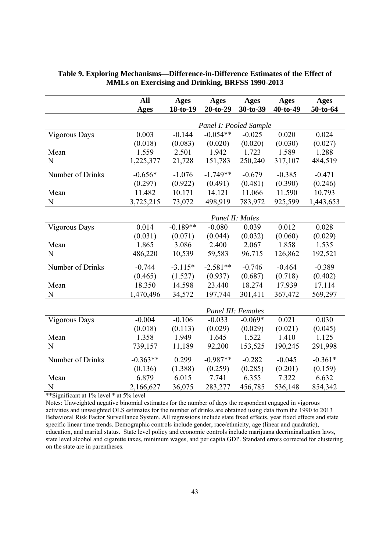|                  | All             | Ages       | Ages                   | Ages      | <b>Ages</b> | Ages      |  |
|------------------|-----------------|------------|------------------------|-----------|-------------|-----------|--|
|                  | <b>Ages</b>     | 18-to-19   | $20-to-29$             | 30-to-39  | $40-to-49$  | 50-to-64  |  |
|                  |                 |            | Panel I: Pooled Sample |           |             |           |  |
| Vigorous Days    | 0.003           | $-0.144$   | $-0.054**$             | $-0.025$  | 0.020       | 0.024     |  |
|                  | (0.018)         | (0.083)    | (0.020)                | (0.020)   | (0.030)     | (0.027)   |  |
| Mean             | 1.559           | 2.501      | 1.942                  | 1.723     | 1.589       | 1.288     |  |
| N                | 1,225,377       | 21,728     | 151,783                | 250,240   | 317,107     | 484,519   |  |
| Number of Drinks | $-0.656*$       | $-1.076$   | $-1.749**$             | $-0.679$  | $-0.385$    | $-0.471$  |  |
|                  | (0.297)         | (0.922)    | (0.491)                | (0.481)   | (0.390)     | (0.246)   |  |
| Mean             | 11.482          | 10.171     | 14.121                 | 11.066    | 11.590      | 10.793    |  |
| N                | 3,725,215       | 73,072     | 498,919                | 783,972   | 925,599     | 1,443,653 |  |
|                  | Panel II: Males |            |                        |           |             |           |  |
| Vigorous Days    | 0.014           | $-0.189**$ | $-0.080$               | 0.039     | 0.012       | 0.028     |  |
|                  | (0.031)         | (0.071)    | (0.044)                | (0.032)   | (0.060)     | (0.029)   |  |
| Mean             | 1.865           | 3.086      | 2.400                  | 2.067     | 1.858       | 1.535     |  |
| N                | 486,220         | 10,539     | 59,583                 | 96,715    | 126,862     | 192,521   |  |
| Number of Drinks | $-0.744$        | $-3.115*$  | $-2.581**$             | $-0.746$  | $-0.464$    | $-0.389$  |  |
|                  | (0.465)         | (1.527)    | (0.937)                | (0.687)   | (0.718)     | (0.402)   |  |
| Mean             | 18.350          | 14.598     | 23.440                 | 18.274    | 17.939      | 17.114    |  |
| N                | 1,470,496       | 34,572     | 197,744                | 301,411   | 367,472     | 569,297   |  |
|                  |                 |            | Panel III: Females     |           |             |           |  |
| Vigorous Days    | $-0.004$        | $-0.106$   | $-0.033$               | $-0.069*$ | 0.021       | 0.030     |  |
|                  | (0.018)         | (0.113)    | (0.029)                | (0.029)   | (0.021)     | (0.045)   |  |
| Mean             | 1.358           | 1.949      | 1.645                  | 1.522     | 1.410       | 1.125     |  |
| N                | 739,157         | 11,189     | 92,200                 | 153,525   | 190,245     | 291,998   |  |
| Number of Drinks | $-0.363**$      | 0.299      | $-0.987**$             | $-0.282$  | $-0.045$    | $-0.361*$ |  |
|                  | (0.136)         | (1.388)    | (0.259)                | (0.285)   | (0.201)     | (0.159)   |  |
| Mean             | 6.879           | 6.015      | 7.741                  | 6.355     | 7.322       | 6.632     |  |
| N                | 2,166,627       | 36,075     | 283,277                | 456,785   | 536,148     | 854,342   |  |

#### **Table 9. Exploring Mechanisms—Difference-in-Difference Estimates of the Effect of MMLs on Exercising and Drinking, BRFSS 1990-2013**

\*\*Significant at 1% level \* at 5% level

Notes: Unweighted negative binomial estimates for the number of days the respondent engaged in vigorous activities and unweighted OLS estimates for the number of drinks are obtained using data from the 1990 to 2013 Behavioral Risk Factor Surveillance System. All regressions include state fixed effects, year fixed effects and state specific linear time trends. Demographic controls include gender, race/ethnicity, age (linear and quadratic), education, and marital status. State level policy and economic controls include marijuana decriminalization laws, state level alcohol and cigarette taxes, minimum wages, and per capita GDP. Standard errors corrected for clustering on the state are in parentheses.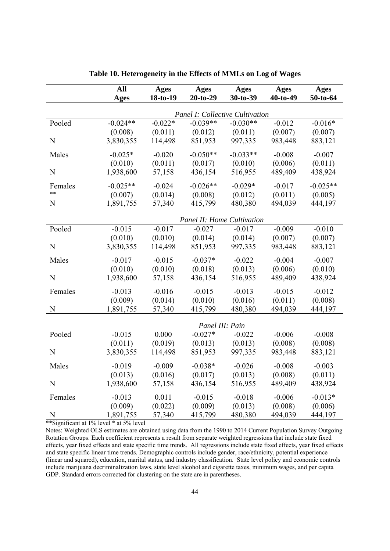|             | <b>All</b>                 | <b>Ages</b> | <b>Ages</b>                     | <b>Ages</b> | <b>Ages</b> | <b>Ages</b> |  |
|-------------|----------------------------|-------------|---------------------------------|-------------|-------------|-------------|--|
|             | <b>Ages</b>                | 18-to-19    | $20-to-29$                      | 30-to-39    | 40-to-49    | 50-to-64    |  |
|             |                            |             | Panel I: Collective Cultivation |             |             |             |  |
| Pooled      | $-0.024**$                 | $-0.022*$   | $-0.039**$                      | $-0.030**$  | $-0.012$    | $-0.016*$   |  |
|             | (0.008)                    | (0.011)     | (0.012)                         | (0.011)     | (0.007)     | (0.007)     |  |
| N           | 3,830,355                  | 114,498     | 851,953                         | 997,335     | 983,448     | 883,121     |  |
| Males       | $-0.025*$                  | $-0.020$    | $-0.050**$                      | $-0.033**$  | $-0.008$    | $-0.007$    |  |
|             | (0.010)                    | (0.011)     | (0.017)                         | (0.010)     | (0.006)     | (0.011)     |  |
| N           | 1,938,600                  | 57,158      | 436,154                         | 516,955     | 489,409     | 438,924     |  |
| Females     | $-0.025**$                 | $-0.024$    | $-0.026**$                      | $-0.029*$   | $-0.017$    | $-0.025**$  |  |
| $**$        | (0.007)                    | (0.014)     | (0.008)                         | (0.012)     | (0.011)     | (0.005)     |  |
| $\mathbf N$ | 1,891,755                  | 57,340      | 415,799                         | 480,380     | 494,039     | 444,197     |  |
|             | Panel II: Home Cultivation |             |                                 |             |             |             |  |
| Pooled      | $-0.015$                   | $-0.017$    | $-0.027$                        | $-0.017$    | $-0.009$    | $-0.010$    |  |
|             | (0.010)                    | (0.010)     | (0.014)                         | (0.014)     | (0.007)     | (0.007)     |  |
| N           | 3,830,355                  | 114,498     | 851,953                         | 997,335     | 983,448     | 883,121     |  |
| Males       | $-0.017$                   | $-0.015$    | $-0.037*$                       | $-0.022$    | $-0.004$    | $-0.007$    |  |
|             | (0.010)                    | (0.010)     | (0.018)                         | (0.013)     | (0.006)     | (0.010)     |  |
| $\mathbf N$ | 1,938,600                  | 57,158      | 436,154                         | 516,955     | 489,409     | 438,924     |  |
| Females     | $-0.013$                   | $-0.016$    | $-0.015$                        | $-0.013$    | $-0.015$    | $-0.012$    |  |
|             | (0.009)                    | (0.014)     | (0.010)                         | (0.016)     | (0.011)     | (0.008)     |  |
| N           | 1,891,755                  | 57,340      | 415,799                         | 480,380     | 494,039     | 444,197     |  |
|             |                            |             | Panel III: Pain                 |             |             |             |  |
| Pooled      | $-0.015$                   | 0.000       | $-0.027*$                       | $-0.022$    | $-0.006$    | $-0.008$    |  |
|             | (0.011)                    | (0.019)     | (0.013)                         | (0.013)     | (0.008)     | (0.008)     |  |
| $\mathbf N$ | 3,830,355                  | 114,498     | 851,953                         | 997,335     | 983,448     | 883,121     |  |
| Males       | $-0.019$                   | $-0.009$    | $-0.038*$                       | $-0.026$    | $-0.008$    | $-0.003$    |  |
|             | (0.013)                    | (0.016)     | (0.017)                         | (0.013)     | (0.008)     | (0.011)     |  |
| N           | 1,938,600                  | 57,158      | 436,154                         | 516,955     | 489,409     | 438,924     |  |
| Females     | $-0.013$                   | 0.011       | $-0.015$                        | $-0.018$    | $-0.006$    | $-0.013*$   |  |
|             | (0.009)                    | (0.022)     | (0.009)                         | (0.013)     | (0.008)     | (0.006)     |  |
| N           | 1,891,755                  | 57,340      | 415,799                         | 480,380     | 494,039     | 444,197     |  |

|  | Table 10. Heterogeneity in the Effects of MMLs on Log of Wages |  |  |  |  |  |  |  |
|--|----------------------------------------------------------------|--|--|--|--|--|--|--|
|--|----------------------------------------------------------------|--|--|--|--|--|--|--|

\*\*Significant at 1% level \* at 5% level

Notes: Weighted OLS estimates are obtained using data from the 1990 to 2014 Current Population Survey Outgoing Rotation Groups. Each coefficient represents a result from separate weighted regressions that include state fixed effects, year fixed effects and state specific time trends. All regressions include state fixed effects, year fixed effects and state specific linear time trends. Demographic controls include gender, race/ethnicity, potential experience (linear and squared), education, marital status, and industry classification. State level policy and economic controls include marijuana decriminalization laws, state level alcohol and cigarette taxes, minimum wages, and per capita GDP. Standard errors corrected for clustering on the state are in parentheses.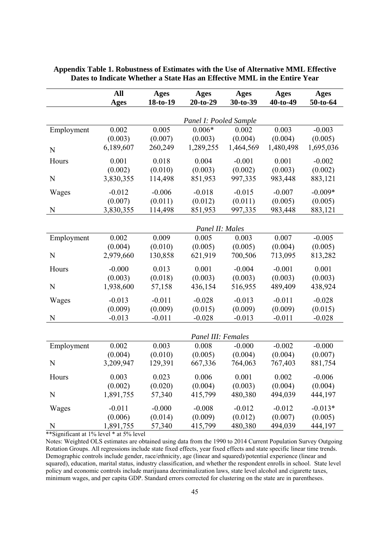|            | All       | <b>Ages</b> | Ages                   | Ages      | Ages       | Ages      |
|------------|-----------|-------------|------------------------|-----------|------------|-----------|
|            | Ages      | 18-to-19    | $20-to-29$             | 30-to-39  | $40-to-49$ | 50-to-64  |
|            |           |             |                        |           |            |           |
|            |           |             | Panel I: Pooled Sample |           |            |           |
| Employment | 0.002     | 0.005       | $0.006*$               | 0.002     | 0.003      | $-0.003$  |
|            | (0.003)   | (0.007)     | (0.003)                | (0.004)   | (0.004)    | (0.005)   |
| N          | 6,189,607 | 260,249     | 1,289,255              | 1,464,569 | 1,480,498  | 1,695,036 |
| Hours      | 0.001     | 0.018       | 0.004                  | $-0.001$  | 0.001      | $-0.002$  |
|            | (0.002)   | (0.010)     | (0.003)                | (0.002)   | (0.003)    | (0.002)   |
| N          | 3,830,355 | 114,498     | 851,953                | 997,335   | 983,448    | 883,121   |
| Wages      | $-0.012$  | $-0.006$    | $-0.018$               | $-0.015$  | $-0.007$   | $-0.009*$ |
|            | (0.007)   | (0.011)     | (0.012)                | (0.011)   | (0.005)    | (0.005)   |
| N          | 3,830,355 | 114,498     | 851,953                | 997,335   | 983,448    | 883,121   |
|            |           |             |                        |           |            |           |
|            |           |             | Panel II: Males        |           |            |           |
| Employment | 0.002     | 0.009       | 0.005                  | 0.003     | 0.007      | $-0.005$  |
|            | (0.004)   | (0.010)     | (0.005)                | (0.005)   | (0.004)    | (0.005)   |
| N          | 2,979,660 | 130,858     | 621,919                | 700,506   | 713,095    | 813,282   |
| Hours      | $-0.000$  | 0.013       | 0.001                  | $-0.004$  | $-0.001$   | 0.001     |
|            | (0.003)   | (0.018)     | (0.003)                | (0.003)   | (0.003)    | (0.003)   |
| N          | 1,938,600 | 57,158      | 436,154                | 516,955   | 489,409    | 438,924   |
| Wages      | $-0.013$  | $-0.011$    | $-0.028$               | $-0.013$  | $-0.011$   | $-0.028$  |
|            | (0.009)   | (0.009)     | (0.015)                | (0.009)   | (0.009)    | (0.015)   |
| N          | $-0.013$  | $-0.011$    | $-0.028$               | $-0.013$  | $-0.011$   | $-0.028$  |
|            |           |             |                        |           |            |           |
|            |           |             | Panel III: Females     |           |            |           |
| Employment | 0.002     | 0.003       | 0.008                  | $-0.000$  | $-0.002$   | $-0.000$  |
|            | (0.004)   | (0.010)     | (0.005)                | (0.004)   | (0.004)    | (0.007)   |
| N          | 3,209,947 | 129,391     | 667,336                | 764,063   | 767,403    | 881,754   |
| Hours      | 0.003     | 0.023       | 0.006                  | 0.001     | 0.002      | $-0.006$  |
|            | (0.002)   | (0.020)     | (0.004)                | (0.003)   | (0.004)    | (0.004)   |
| N          | 1,891,755 | 57,340      | 415,799                | 480,380   | 494,039    | 444,197   |
| Wages      | $-0.011$  | $-0.000$    | $-0.008$               | $-0.012$  | $-0.012$   | $-0.013*$ |
|            | (0.006)   | (0.014)     | (0.009)                | (0.012)   | (0.007)    | (0.005)   |
| N          | 1,891,755 | 57,340      | 415,799                | 480,380   | 494,039    | 444,197   |

#### **Appendix Table 1. Robustness of Estimates with the Use of Alternative MML Effective Dates to Indicate Whether a State Has an Effective MML in the Entire Year**

\*\*Significant at 1% level \* at 5% level

Notes: Weighted OLS estimates are obtained using data from the 1990 to 2014 Current Population Survey Outgoing Rotation Groups. All regressions include state fixed effects, year fixed effects and state specific linear time trends. Demographic controls include gender, race/ethnicity, age (linear and squared)/potential experience (linear and squared), education, marital status, industry classification, and whether the respondent enrolls in school. State level policy and economic controls include marijuana decriminalization laws, state level alcohol and cigarette taxes, minimum wages, and per capita GDP. Standard errors corrected for clustering on the state are in parentheses.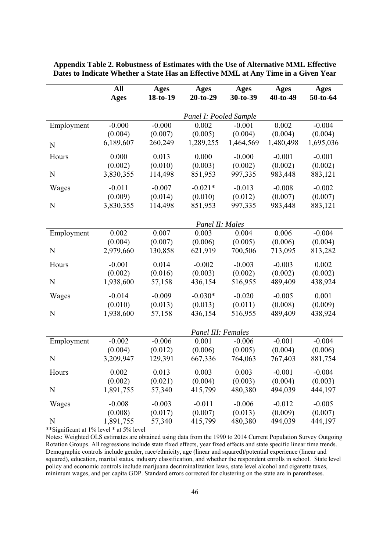|             | All         | <b>Ages</b> | <b>Ages</b>            | <b>Ages</b> | <b>Ages</b> | <b>Ages</b> |
|-------------|-------------|-------------|------------------------|-------------|-------------|-------------|
|             | <b>Ages</b> | 18-to-19    | $20-to-29$             | 30-to-39    | 40-to-49    | 50-to-64    |
|             |             |             |                        |             |             |             |
|             |             |             | Panel I: Pooled Sample |             |             |             |
| Employment  | $-0.000$    | $-0.000$    | 0.002                  | $-0.001$    | 0.002       | $-0.004$    |
|             | (0.004)     | (0.007)     | (0.005)                | (0.004)     | (0.004)     | (0.004)     |
| N           | 6,189,607   | 260,249     | 1,289,255              | 1,464,569   | 1,480,498   | 1,695,036   |
| Hours       | 0.000       | 0.013       | 0.000                  | $-0.000$    | $-0.001$    | $-0.001$    |
|             | (0.002)     | (0.010)     | (0.003)                | (0.002)     | (0.002)     | (0.002)     |
| ${\bf N}$   | 3,830,355   | 114,498     | 851,953                | 997,335     | 983,448     | 883,121     |
| Wages       | $-0.011$    | $-0.007$    | $-0.021*$              | $-0.013$    | $-0.008$    | $-0.002$    |
|             | (0.009)     | (0.014)     | (0.010)                | (0.012)     | (0.007)     | (0.007)     |
| ${\bf N}$   | 3,830,355   | 114,498     | 851,953                | 997,335     | 983,448     | 883,121     |
|             |             |             |                        |             |             |             |
|             |             |             | Panel II: Males        |             |             |             |
| Employment  | 0.002       | 0.007       | 0.003                  | 0.004       | 0.006       | $-0.004$    |
|             | (0.004)     | (0.007)     | (0.006)                | (0.005)     | (0.006)     | (0.004)     |
| $\mathbf N$ | 2,979,660   | 130,858     | 621,919                | 700,506     | 713,095     | 813,282     |
| Hours       | $-0.001$    | 0.014       | $-0.002$               | $-0.003$    | $-0.003$    | 0.002       |
|             | (0.002)     | (0.016)     | (0.003)                | (0.002)     | (0.002)     | (0.002)     |
| N           | 1,938,600   | 57,158      | 436,154                | 516,955     | 489,409     | 438,924     |
| Wages       | $-0.014$    | $-0.009$    | $-0.030*$              | $-0.020$    | $-0.005$    | 0.001       |
|             | (0.010)     | (0.013)     | (0.013)                | (0.011)     | (0.008)     | (0.009)     |
| N           | 1,938,600   | 57,158      | 436,154                | 516,955     | 489,409     | 438,924     |
|             |             |             |                        |             |             |             |
|             |             |             | Panel III: Females     |             |             |             |
| Employment  | $-0.002$    | $-0.006$    | 0.001                  | $-0.006$    | $-0.001$    | $-0.004$    |
|             | (0.004)     | (0.012)     | (0.006)                | (0.005)     | (0.004)     | (0.006)     |
| N           | 3,209,947   | 129,391     | 667,336                | 764,063     | 767,403     | 881,754     |
| Hours       | 0.002       | 0.013       | 0.003                  | 0.003       | $-0.001$    | $-0.004$    |
|             | (0.002)     | (0.021)     | (0.004)                | (0.003)     | (0.004)     | (0.003)     |
| N           | 1,891,755   | 57,340      | 415,799                | 480,380     | 494,039     | 444,197     |
| Wages       | $-0.008$    | $-0.003$    | $-0.011$               | $-0.006$    | $-0.012$    | $-0.005$    |
|             | (0.008)     | (0.017)     | (0.007)                | (0.013)     | (0.009)     | (0.007)     |
| N           | 1,891,755   | 57,340      | 415,799                | 480,380     | 494,039     | 444,197     |

**Appendix Table 2. Robustness of Estimates with the Use of Alternative MML Effective Dates to Indicate Whether a State Has an Effective MML at Any Time in a Given Year** 

\*\*Significant at 1% level \* at 5% level

Notes: Weighted OLS estimates are obtained using data from the 1990 to 2014 Current Population Survey Outgoing Rotation Groups. All regressions include state fixed effects, year fixed effects and state specific linear time trends. Demographic controls include gender, race/ethnicity, age (linear and squared)/potential experience (linear and squared), education, marital status, industry classification, and whether the respondent enrolls in school. State level policy and economic controls include marijuana decriminalization laws, state level alcohol and cigarette taxes, minimum wages, and per capita GDP. Standard errors corrected for clustering on the state are in parentheses.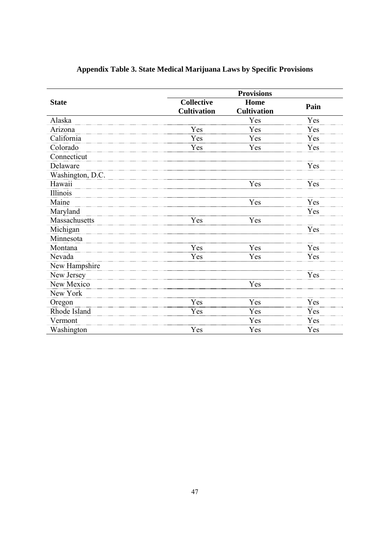|                  |                                         | <b>Provisions</b>          |      |
|------------------|-----------------------------------------|----------------------------|------|
| <b>State</b>     | <b>Collective</b><br><b>Cultivation</b> | Home<br><b>Cultivation</b> | Pain |
| Alaska           |                                         | Yes                        | Yes  |
| Arizona          | Yes                                     | Yes                        | Yes  |
| California       | Yes                                     | Yes                        | Yes  |
| Colorado         | Yes                                     | Yes                        | Yes  |
| Connecticut      |                                         |                            |      |
| Delaware         |                                         |                            | Yes  |
| Washington, D.C. |                                         |                            |      |
| Hawaii           |                                         | Yes                        | Yes  |
| Illinois         |                                         |                            |      |
| Maine            |                                         | Yes                        | Yes  |
| Maryland         |                                         |                            | Yes  |
| Massachusetts    | Yes                                     | Yes                        |      |
| Michigan         |                                         |                            | Yes  |
| Minnesota        |                                         |                            |      |
| Montana          | Yes                                     | Yes                        | Yes  |
| Nevada           | Yes                                     | Yes                        | Yes  |
| New Hampshire    |                                         |                            |      |
| New Jersey       |                                         |                            | Yes  |
| New Mexico       |                                         | Yes                        |      |
| New York         |                                         |                            |      |
| Oregon           | Yes                                     | Yes                        | Yes  |
| Rhode Island     | Yes                                     | Yes                        | Yes  |
| Vermont          |                                         | Yes                        | Yes  |
| Washington       | Yes                                     | Yes                        | Yes  |

## **Appendix Table 3. State Medical Marijuana Laws by Specific Provisions**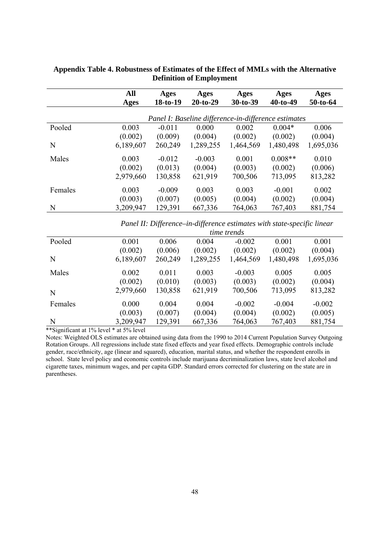|         | All<br>Ages | Ages<br>$18-to-19$ | Ages<br>$20-to-29$                                   | Ages<br>$30-to-39$ | Ages<br>$40-to-49$ | Ages<br>$50-to-64$ |
|---------|-------------|--------------------|------------------------------------------------------|--------------------|--------------------|--------------------|
|         |             |                    | Panel I: Baseline difference-in-difference estimates |                    |                    |                    |
| Pooled  | 0.003       | $-0.011$           | 0.000                                                | 0.002              | $0.004*$           | 0.006              |
|         | (0.002)     | (0.009)            | (0.004)                                              | (0.002)            | (0.002)            | (0.004)            |
| N       | 6,189,607   | 260,249            | 1,289,255                                            | 1,464,569          | 1,480,498          | 1,695,036          |
| Males   | 0.003       | $-0.012$           | $-0.003$                                             | 0.001              | $0.008**$          | 0.010              |
|         | (0.002)     | (0.013)            | (0.004)                                              | (0.003)            | (0.002)            | (0.006)            |
|         | 2,979,660   | 130,858            | 621,919                                              | 700,506            | 713,095            | 813,282            |
| Females | 0.003       | $-0.009$           | 0.003                                                | 0.003              | $-0.001$           | 0.002              |
|         | (0.003)     | (0.007)            | (0.005)                                              | (0.004)            | (0.002)            | (0.004)            |
| N       | 3,209,947   | 129,391            | 667,336                                              | 764,063            | 767,403            | 881,754            |

#### **Appendix Table 4. Robustness of Estimates of the Effect of MMLs with the Alternative Definition of Employment**

*Panel II: Difference–in-difference estimates with state-specific linear* 

|         | <i>time trends</i> |         |           |           |           |           |
|---------|--------------------|---------|-----------|-----------|-----------|-----------|
| Pooled  | 0.001              | 0.006   | 0.004     | $-0.002$  | 0.001     | 0.001     |
|         | (0.002)            | (0.006) | (0.002)   | (0.002)   | (0.002)   | (0.004)   |
| N       | 6,189,607          | 260,249 | 1,289,255 | 1,464,569 | 1,480,498 | 1,695,036 |
| Males   | 0.002              | 0.011   | 0.003     | $-0.003$  | 0.005     | 0.005     |
|         | (0.002)            | (0.010) | (0.003)   | (0.003)   | (0.002)   | (0.004)   |
| N       | 2,979,660          | 130,858 | 621,919   | 700,506   | 713,095   | 813,282   |
| Females | 0.000              | 0.004   | 0.004     | $-0.002$  | $-0.004$  | $-0.002$  |
|         | (0.003)            | (0.007) | (0.004)   | (0.004)   | (0.002)   | (0.005)   |
| N       | 3,209,947          | 129,391 | 667,336   | 764,063   | 767,403   | 881,754   |

\*\*Significant at 1% level \* at 5% level

Notes: Weighted OLS estimates are obtained using data from the 1990 to 2014 Current Population Survey Outgoing Rotation Groups. All regressions include state fixed effects and year fixed effects. Demographic controls include gender, race/ethnicity, age (linear and squared), education, marital status, and whether the respondent enrolls in school. State level policy and economic controls include marijuana decriminalization laws, state level alcohol and cigarette taxes, minimum wages, and per capita GDP. Standard errors corrected for clustering on the state are in parentheses.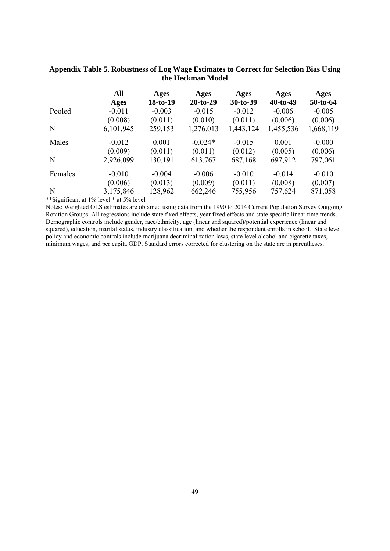|         | All       | Ages     | Ages       | Ages       | Ages       | Ages       |
|---------|-----------|----------|------------|------------|------------|------------|
|         | Ages      | 18-to-19 | $20-to-29$ | $30-to-39$ | $40-to-49$ | $50-to-64$ |
| Pooled  | $-0.011$  | $-0.003$ | $-0.015$   | $-0.012$   | $-0.006$   | $-0.005$   |
|         | (0.008)   | (0.011)  | (0.010)    | (0.011)    | (0.006)    | (0.006)    |
| N       | 6,101,945 | 259,153  | 1,276,013  | 1,443,124  | 1,455,536  | 1,668,119  |
| Males   | $-0.012$  | 0.001    | $-0.024*$  | $-0.015$   | 0.001      | $-0.000$   |
|         | (0.009)   | (0.011)  | (0.011)    | (0.012)    | (0.005)    | (0.006)    |
| N       | 2,926,099 | 130,191  | 613,767    | 687,168    | 697,912    | 797,061    |
| Females | $-0.010$  | $-0.004$ | $-0.006$   | $-0.010$   | $-0.014$   | $-0.010$   |
|         | (0.006)   | (0.013)  | (0.009)    | (0.011)    | (0.008)    | (0.007)    |
| N       | 3,175,846 | 128,962  | 662,246    | 755,956    | 757,624    | 871,058    |

**Appendix Table 5. Robustness of Log Wage Estimates to Correct for Selection Bias Using the Heckman Model** 

\*\*Significant at 1% level \* at 5% level

Notes: Weighted OLS estimates are obtained using data from the 1990 to 2014 Current Population Survey Outgoing Rotation Groups. All regressions include state fixed effects, year fixed effects and state specific linear time trends. Demographic controls include gender, race/ethnicity, age (linear and squared)/potential experience (linear and squared), education, marital status, industry classification, and whether the respondent enrolls in school. State level policy and economic controls include marijuana decriminalization laws, state level alcohol and cigarette taxes, minimum wages, and per capita GDP. Standard errors corrected for clustering on the state are in parentheses.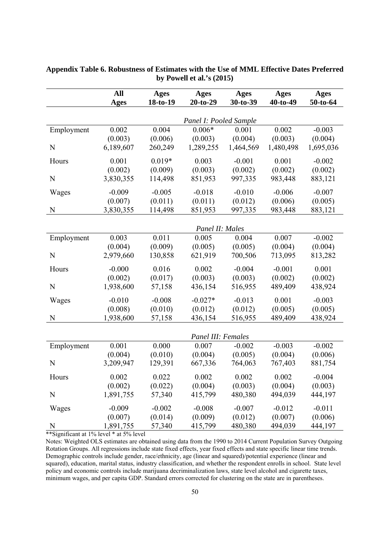|            | All                  | Ages<br><b>Ages</b><br><b>Ages</b><br><b>Ages</b> |                        | <b>Ages</b>          |                      |                      |
|------------|----------------------|---------------------------------------------------|------------------------|----------------------|----------------------|----------------------|
|            | <b>Ages</b>          | 18-to-19                                          | $20-to-29$             | 30-to-39             | 40-to-49             | 50-to-64             |
|            |                      |                                                   |                        |                      |                      |                      |
|            |                      |                                                   | Panel I: Pooled Sample |                      |                      |                      |
| Employment | 0.002                | 0.004                                             | $0.006*$               | 0.001                | 0.002                | $-0.003$             |
| N          | (0.003)<br>6,189,607 | (0.006)<br>260,249                                | (0.003)<br>1,289,255   | (0.004)<br>1,464,569 | (0.003)<br>1,480,498 | (0.004)<br>1,695,036 |
|            |                      |                                                   |                        |                      |                      |                      |
| Hours      | 0.001                | $0.019*$                                          | 0.003                  | $-0.001$             | 0.001                | $-0.002$             |
|            | (0.002)              | (0.009)                                           | (0.003)                | (0.002)              | (0.002)              | (0.002)              |
| N          | 3,830,355            | 114,498                                           | 851,953                | 997,335              | 983,448              | 883,121              |
| Wages      | $-0.009$             | $-0.005$                                          | $-0.018$               | $-0.010$             | $-0.006$             | $-0.007$             |
|            | (0.007)              | (0.011)                                           | (0.011)                | (0.012)              | (0.006)              | (0.005)              |
| N          | 3,830,355            | 114,498                                           | 851,953                | 997,335              | 983,448              | 883,121              |
|            |                      |                                                   |                        |                      |                      |                      |
|            |                      |                                                   | Panel II: Males        |                      |                      |                      |
| Employment | 0.003                | 0.011                                             | 0.005                  | 0.004                | 0.007                | $-0.002$             |
|            | (0.004)              | (0.009)                                           | (0.005)                | (0.005)              | (0.004)              | (0.004)              |
| N          | 2,979,660            | 130,858                                           | 621,919                | 700,506              | 713,095              | 813,282              |
| Hours      | $-0.000$             | 0.016                                             | 0.002                  | $-0.004$             | $-0.001$             | 0.001                |
|            | (0.002)              | (0.017)                                           | (0.003)                | (0.003)              | (0.002)              | (0.002)              |
| N          | 1,938,600            | 57,158                                            | 436,154                | 516,955              | 489,409              | 438,924              |
| Wages      | $-0.010$             | $-0.008$                                          | $-0.027*$              | $-0.013$             | 0.001                | $-0.003$             |
|            | (0.008)              | (0.010)                                           | (0.012)                | (0.012)              | (0.005)              | (0.005)              |
| N          | 1,938,600            | 57,158                                            | 436,154                | 516,955              | 489,409              | 438,924              |
|            |                      |                                                   |                        |                      |                      |                      |
|            |                      |                                                   | Panel III: Females     |                      |                      |                      |
| Employment | 0.001                | 0.000                                             | 0.007                  | $-0.002$             | $-0.003$             | $-0.002$             |
|            | (0.004)              | (0.010)                                           | (0.004)                | (0.005)              | (0.004)              | (0.006)              |
| N          | 3,209,947            | 129,391                                           | 667,336                | 764,063              | 767,403              | 881,754              |
| Hours      | 0.002                | 0.022                                             | 0.002                  | 0.002                | 0.002                | $-0.004$             |
|            | (0.002)              | (0.022)                                           | (0.004)                | (0.003)              | (0.004)              | (0.003)              |
| N          | 1,891,755            | 57,340                                            | 415,799                | 480,380              | 494,039              | 444,197              |
| Wages      | $-0.009$             | $-0.002$                                          | $-0.008$               | $-0.007$             | $-0.012$             | $-0.011$             |
|            | (0.007)              | (0.014)                                           | (0.009)                | (0.012)              | (0.007)              | (0.006)              |
| N          | 1,891,755            | 57,340                                            | 415,799                | 480,380              | 494,039              | 444,197              |

#### **Appendix Table 6. Robustness of Estimates with the Use of MML Effective Dates Preferred by Powell et al.'s (2015)**

\*\*Significant at 1% level \* at 5% level

Notes: Weighted OLS estimates are obtained using data from the 1990 to 2014 Current Population Survey Outgoing Rotation Groups. All regressions include state fixed effects, year fixed effects and state specific linear time trends. Demographic controls include gender, race/ethnicity, age (linear and squared)/potential experience (linear and squared), education, marital status, industry classification, and whether the respondent enrolls in school. State level policy and economic controls include marijuana decriminalization laws, state level alcohol and cigarette taxes, minimum wages, and per capita GDP. Standard errors corrected for clustering on the state are in parentheses.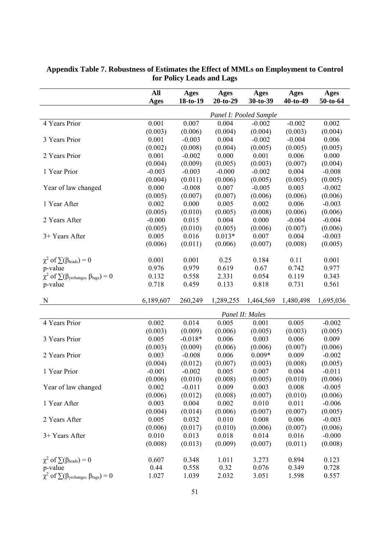|                                                                      | All<br><b>Ages</b> | <b>Ages</b><br>18-to-19 | Ages<br>$20-to-29$ | <b>Ages</b><br>30-to-39 | <b>Ages</b><br>$40-to-49$ | <b>Ages</b><br>50-to-64 |
|----------------------------------------------------------------------|--------------------|-------------------------|--------------------|-------------------------|---------------------------|-------------------------|
|                                                                      |                    |                         |                    | Panel I: Pooled Sample  |                           |                         |
| 4 Years Prior                                                        | 0.001              | 0.007                   | 0.004              | $-0.002$                | $-0.002$                  | 0.002                   |
|                                                                      | (0.003)            | (0.006)                 | (0.004)            | (0.004)                 | (0.003)                   | (0.004)                 |
| 3 Years Prior                                                        | 0.001              | $-0.003$                | 0.004              | $-0.002$                | $-0.004$                  | 0.006                   |
|                                                                      | (0.002)            | (0.008)                 | (0.004)            | (0.005)                 | (0.005)                   | (0.005)                 |
| 2 Years Prior                                                        | 0.001              | $-0.002$                | 0.000              | 0.001                   | 0.006                     | 0.000                   |
|                                                                      | (0.004)            | (0.009)                 | (0.005)            | (0.003)                 | (0.007)                   | (0.004)                 |
| 1 Year Prior                                                         | $-0.003$           | $-0.003$                | $-0.000$           | $-0.002$                | 0.004                     | $-0.008$                |
|                                                                      | (0.004)            | (0.011)                 | (0.006)            | (0.005)                 | (0.005)                   | (0.005)                 |
| Year of law changed                                                  | 0.000              | $-0.008$                | 0.007              | $-0.005$                | 0.003                     | $-0.002$                |
|                                                                      | (0.005)            | (0.007)                 | (0.007)            | (0.006)                 | (0.006)                   | (0.006)                 |
| 1 Year After                                                         | 0.002              | 0.000                   | 0.005              | 0.002                   | 0.006                     | $-0.003$                |
|                                                                      | (0.005)            | (0.010)                 | (0.005)            | (0.008)                 | (0.006)                   | (0.006)                 |
| 2 Years After                                                        | $-0.000$           | 0.015                   | 0.004              | 0.000                   | $-0.004$                  | $-0.004$                |
|                                                                      | (0.005)            | (0.010)                 | (0.005)            | (0.006)                 | (0.007)                   | (0.006)                 |
| 3+ Years After                                                       | 0.005              | 0.016                   | $0.013*$           | 0.007                   | 0.004                     | $-0.003$                |
|                                                                      | (0.006)            | (0.011)                 | (0.006)            | (0.007)                 | (0.008)                   | (0.005)                 |
| $\chi^2$ of $\sum(\beta_{\text{leads}})=0$                           | 0.001              | 0.001                   | 0.25               | 0.184                   | 0.11                      | 0.001                   |
| p-value                                                              | 0.976              | 0.979                   | 0.619              | 0.67                    | 0.742                     | 0.977                   |
| $\chi^2$ of $\sum(\beta_{\text{yrchange}}, \beta_{\text{lags}}) = 0$ | 0.132              | 0.558                   | 2.331              | 0.054                   | 0.119                     | 0.343                   |
| p-value                                                              | 0.718              | 0.459                   | 0.133              | 0.818                   | 0.731                     | 0.561                   |
| N                                                                    | 6,189,607          | 260,249                 | 1,289,255          | 1,464,569               | 1,480,498                 | 1,695,036               |
|                                                                      |                    |                         |                    | Panel II: Males         |                           |                         |
| 4 Years Prior                                                        | 0.002              | 0.014                   | 0.005              | 0.001                   | 0.005                     | $-0.002$                |
|                                                                      | (0.003)            | (0.009)                 | (0.006)            | (0.005)                 | (0.003)                   | (0.005)                 |
| 3 Years Prior                                                        | 0.005              | $-0.018*$               | 0.006              | 0.003                   | 0.006                     | 0.009                   |
|                                                                      | (0.003)            | (0.009)                 | (0.006)            | (0.006)                 | (0.007)                   | (0.006)                 |
| 2 Years Prior                                                        | 0.003              | $-0.008$                | 0.006              | $0.009*$                | 0.009                     | $-0.002$                |
|                                                                      | (0.004)            | (0.012)                 | (0.007)            | (0.003)                 | (0.008)                   | (0.005)                 |
| 1 Year Prior                                                         | $-0.001$           | $-0.002$                | 0.005              | 0.007                   | 0.004                     | $-0.011$                |
|                                                                      | (0.006)            | (0.010)                 | (0.008)            | (0.005)                 | (0.010)                   | (0.006)                 |
| Year of law changed                                                  | 0.002              | $-0.011$                | 0.009              | 0.003                   | 0.008                     | $-0.005$                |
|                                                                      | (0.006)            | (0.012)                 | (0.008)            | (0.007)                 | (0.010)                   | (0.006)                 |
| 1 Year After                                                         | 0.003              | 0.004                   | 0.002              | 0.010                   | 0.011                     | $-0.006$                |
|                                                                      | (0.004)            | (0.014)                 | (0.006)            | (0.007)                 | (0.007)                   | (0.005)                 |
| 2 Years After                                                        | 0.005              | 0.032                   | 0.010              | 0.008                   | 0.006                     | $-0.003$                |
|                                                                      | (0.006)            | (0.017)                 | (0.010)            | (0.006)                 | (0.007)                   | (0.006)                 |
| 3+ Years After                                                       | 0.010              | 0.013                   | 0.018              | 0.014                   | 0.016                     | $-0.000$                |
|                                                                      | (0.008)            | (0.013)                 | (0.009)            | (0.007)                 | (0.011)                   | (0.008)                 |
| $\chi^2$ of $\sum(\beta_{\text{leads}})=0$                           | 0.607              | 0.348                   | 1.011              | 3.273                   | 0.894                     | 0.123                   |
| p-value                                                              | 0.44               | 0.558                   | 0.32               | 0.076                   | 0.349                     | 0.728                   |
| $\chi^2$ of $\sum(\beta_{\text{yrehange}}, \beta_{\text{lags}}) = 0$ | 1.027              | 1.039                   | 2.032              | 3.051                   | 1.598                     | 0.557                   |

#### **Appendix Table 7. Robustness of Estimates the Effect of MMLs on Employment to Control for Policy Leads and Lags**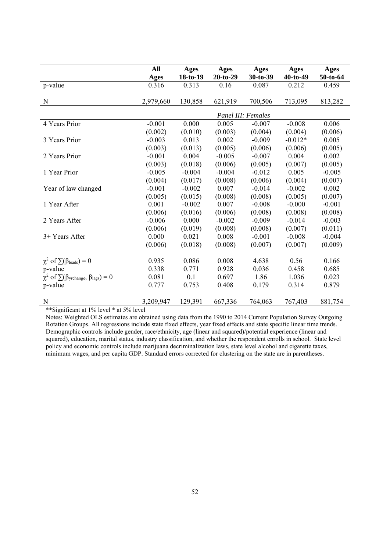|                                                                      | All         | <b>Ages</b>        | <b>Ages</b> | <b>Ages</b> | Ages      | Ages     |  |  |  |
|----------------------------------------------------------------------|-------------|--------------------|-------------|-------------|-----------|----------|--|--|--|
|                                                                      | <b>Ages</b> | $18-to-19$         | $20-to-29$  | $30-t0-39$  | 40-to-49  | 50-to-64 |  |  |  |
| p-value                                                              | 0.316       | 0.313              | 0.16        | 0.087       | 0.212     | 0.459    |  |  |  |
|                                                                      |             |                    |             |             |           |          |  |  |  |
| N                                                                    | 2,979,660   | 130,858            | 621,919     | 700,506     | 713,095   | 813,282  |  |  |  |
|                                                                      |             | Panel III: Females |             |             |           |          |  |  |  |
| 4 Years Prior                                                        | $-0.001$    | 0.000              | 0.005       | $-0.007$    | $-0.008$  | 0.006    |  |  |  |
|                                                                      | (0.002)     | (0.010)            | (0.003)     | (0.004)     | (0.004)   | (0.006)  |  |  |  |
| 3 Years Prior                                                        | $-0.003$    | 0.013              | 0.002       | $-0.009$    | $-0.012*$ | 0.005    |  |  |  |
|                                                                      | (0.003)     | (0.013)            | (0.005)     | (0.006)     | (0.006)   | (0.005)  |  |  |  |
| 2 Years Prior                                                        | $-0.001$    | 0.004              | $-0.005$    | $-0.007$    | 0.004     | 0.002    |  |  |  |
|                                                                      | (0.003)     | (0.018)            | (0.006)     | (0.005)     | (0.007)   | (0.005)  |  |  |  |
| 1 Year Prior                                                         | $-0.005$    | $-0.004$           | $-0.004$    | $-0.012$    | 0.005     | $-0.005$ |  |  |  |
|                                                                      | (0.004)     | (0.017)            | (0.008)     | (0.006)     | (0.004)   | (0.007)  |  |  |  |
| Year of law changed                                                  | $-0.001$    | $-0.002$           | 0.007       | $-0.014$    | $-0.002$  | 0.002    |  |  |  |
|                                                                      | (0.005)     | (0.015)            | (0.008)     | (0.008)     | (0.005)   | (0.007)  |  |  |  |
| 1 Year After                                                         | 0.001       | $-0.002$           | 0.007       | $-0.008$    | $-0.000$  | $-0.001$ |  |  |  |
|                                                                      | (0.006)     | (0.016)            | (0.006)     | (0.008)     | (0.008)   | (0.008)  |  |  |  |
| 2 Years After                                                        | $-0.006$    | 0.000              | $-0.002$    | $-0.009$    | $-0.014$  | $-0.003$ |  |  |  |
|                                                                      | (0.006)     | (0.019)            | (0.008)     | (0.008)     | (0.007)   | (0.011)  |  |  |  |
| 3+ Years After                                                       | 0.000       | 0.021              | 0.008       | $-0.001$    | $-0.008$  | $-0.004$ |  |  |  |
|                                                                      | (0.006)     | (0.018)            | (0.008)     | (0.007)     | (0.007)   | (0.009)  |  |  |  |
| $\chi^2$ of $\sum(\beta_{\text{leads}})=0$                           | 0.935       | 0.086              | 0.008       | 4.638       | 0.56      | 0.166    |  |  |  |
| p-value                                                              | 0.338       | 0.771              | 0.928       | 0.036       | 0.458     | 0.685    |  |  |  |
| $\chi^2$ of $\sum(\beta_{\text{yrehange}}, \beta_{\text{lags}}) = 0$ | 0.081       | 0.1                | 0.697       | 1.86        | 1.036     | 0.023    |  |  |  |
| p-value                                                              | 0.777       | 0.753              | 0.408       | 0.179       | 0.314     | 0.879    |  |  |  |
|                                                                      |             |                    |             |             |           |          |  |  |  |
| $\mathbf N$                                                          | 3,209,947   | 129,391            | 667,336     | 764,063     | 767,403   | 881,754  |  |  |  |

\*\*Significant at 1% level \* at 5% level

Notes: Weighted OLS estimates are obtained using data from the 1990 to 2014 Current Population Survey Outgoing Rotation Groups. All regressions include state fixed effects, year fixed effects and state specific linear time trends. Demographic controls include gender, race/ethnicity, age (linear and squared)/potential experience (linear and squared), education, marital status, industry classification, and whether the respondent enrolls in school. State level policy and economic controls include marijuana decriminalization laws, state level alcohol and cigarette taxes, minimum wages, and per capita GDP. Standard errors corrected for clustering on the state are in parentheses.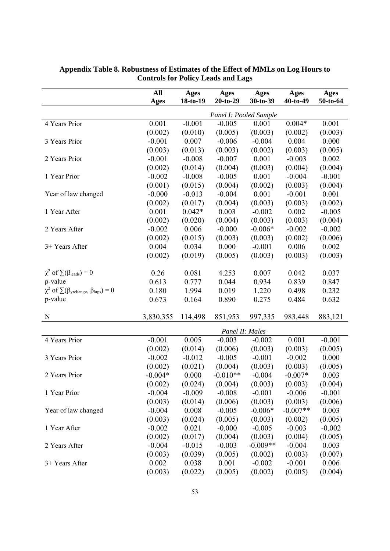|                                                      | All<br><b>Ages</b> | <b>Ages</b><br>18-to-19 | <b>Ages</b><br>$20-to-29$ | <b>Ages</b><br>30-to-39 | <b>Ages</b><br>40-to-49 | <b>Ages</b><br>50-to-64 |
|------------------------------------------------------|--------------------|-------------------------|---------------------------|-------------------------|-------------------------|-------------------------|
|                                                      |                    |                         | Panel I: Pooled Sample    |                         |                         |                         |
| 4 Years Prior                                        | 0.001              | $-0.001$                | $-0.005$                  | 0.001                   | $0.004*$                | 0.001                   |
|                                                      | (0.002)            | (0.010)                 | (0.005)                   | (0.003)                 | (0.002)                 | (0.003)                 |
| 3 Years Prior                                        | $-0.001$           | 0.007                   | $-0.006$                  | $-0.004$                | 0.004                   | 0.000                   |
|                                                      | (0.003)            | (0.013)                 | (0.003)                   | (0.002)                 | (0.003)                 | (0.005)                 |
| 2 Years Prior                                        | $-0.001$           | $-0.008$                | $-0.007$                  | 0.001                   | $-0.003$                | 0.002                   |
|                                                      | (0.002)            | (0.014)                 | (0.004)                   | (0.003)                 | (0.004)                 | (0.004)                 |
| 1 Year Prior                                         | $-0.002$           | $-0.008$                | $-0.005$                  | 0.001                   | $-0.004$                | $-0.001$                |
|                                                      | (0.001)            | (0.015)                 | (0.004)                   | (0.002)                 | (0.003)                 | (0.004)                 |
| Year of law changed                                  | $-0.000$           | $-0.013$                | $-0.004$                  | 0.001                   | $-0.001$                | 0.001                   |
|                                                      | (0.002)            | (0.017)                 | (0.004)                   | (0.003)                 | (0.003)                 | (0.002)                 |
| 1 Year After                                         | 0.001              | $0.042*$                | 0.003                     | $-0.002$                | 0.002                   | $-0.005$                |
|                                                      | (0.002)            | (0.020)                 | (0.004)                   | (0.003)                 | (0.003)                 | (0.004)                 |
| 2 Years After                                        | $-0.002$           | 0.006                   | $-0.000$                  | $-0.006*$               | $-0.002$                | $-0.002$                |
|                                                      | (0.002)            | (0.015)                 | (0.003)                   | (0.003)                 | (0.002)                 | (0.006)                 |
| 3+ Years After                                       | 0.004              | 0.034                   | 0.000                     | $-0.001$                | 0.006                   | 0.002                   |
|                                                      | (0.002)            | (0.019)                 | (0.005)                   | (0.003)                 | (0.003)                 | (0.003)                 |
| $\chi^2$ of $\sum(\beta_{\text{leads}})=0$           | 0.26               | 0.081                   | 4.253                     | 0.007                   | 0.042                   | 0.037                   |
| p-value                                              | 0.613              | 0.777                   | 0.044                     | 0.934                   | 0.839                   | 0.847                   |
| $\chi^2$ of $\sum(\beta$ yrchange, $\beta$ lags) = 0 | 0.180              | 1.994                   | 0.019                     | 1.220                   | 0.498                   | 0.232                   |
| p-value                                              | 0.673              | 0.164                   | 0.890                     | 0.275                   | 0.484                   | 0.632                   |
| $\mathbf N$                                          |                    |                         |                           |                         |                         |                         |
|                                                      | 3,830,355          | 114,498                 | 851,953                   | 997,335                 | 983,448                 | 883,121                 |
|                                                      |                    |                         | Panel II: Males           |                         |                         |                         |
| 4 Years Prior                                        | $-0.001$           | 0.005                   | $-0.003$                  | $-0.002$                | 0.001                   | $-0.001$                |
|                                                      | (0.002)            | (0.014)                 | (0.006)                   | (0.003)                 | (0.003)                 | (0.005)                 |
| 3 Years Prior                                        | $-0.002$           | $-0.012$                | $-0.005$                  | $-0.001$                | $-0.002$                | 0.000                   |
|                                                      | (0.002)            | (0.021)                 | (0.004)                   | (0.003)                 | (0.003)                 | (0.005)                 |
| 2 Years Prior                                        | $-0.004*$          | 0.000                   | $-0.010**$                | $-0.004$                | $-0.007*$               | 0.003                   |
|                                                      | (0.002)            | (0.024)                 | (0.004)                   | (0.003)                 | (0.003)                 | (0.004)                 |
| 1 Year Prior                                         | $-0.004$           | $-0.009$                | $-0.008$                  | $-0.001$                | $-0.006$                | $-0.001$                |
|                                                      | (0.003)            | (0.014)                 | (0.006)                   | (0.003)                 | (0.003)                 | (0.006)                 |
| Year of law changed                                  | $-0.004$           | 0.008                   | $-0.005$                  | $-0.006*$               | $-0.007**$              | 0.003                   |
|                                                      | (0.003)            | (0.024)                 | (0.005)                   | (0.003)                 | (0.002)                 | (0.005)                 |
| 1 Year After                                         | $-0.002$           | 0.021                   | $-0.000$                  | $-0.005$                | $-0.003$                | $-0.002$                |
|                                                      | (0.002)            | (0.017)                 | (0.004)                   | (0.003)                 | (0.004)                 | (0.005)                 |
| 2 Years After                                        | $-0.004$           | $-0.015$                | $-0.003$                  | $-0.009**$              | $-0.004$                | 0.003                   |
|                                                      | (0.003)            | (0.039)                 | (0.005)                   | (0.002)                 | (0.003)                 | (0.007)                 |
| 3+ Years After                                       | 0.002              | 0.038                   | 0.001                     | $-0.002$                | $-0.001$                | 0.006                   |
|                                                      | (0.003)            | (0.022)                 | (0.005)                   | (0.002)                 | (0.005)                 | (0.004)                 |

#### **Appendix Table 8. Robustness of Estimates of the Effect of MMLs on Log Hours to Controls for Policy Leads and Lags**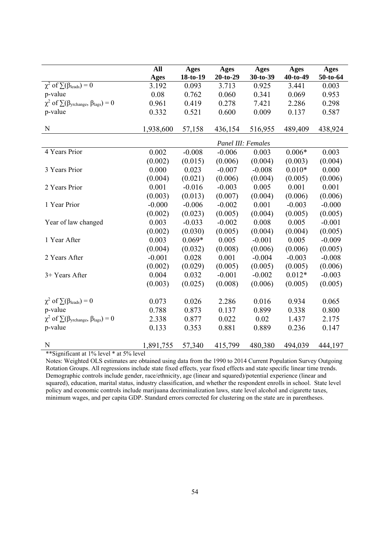|                                                                      | All         | <b>Ages</b> | <b>Ages</b> | <b>Ages</b> | Ages     | <b>Ages</b> |
|----------------------------------------------------------------------|-------------|-------------|-------------|-------------|----------|-------------|
|                                                                      | <b>Ages</b> | 18-to-19    | $20-to-29$  | 30-to-39    | 40-to-49 | 50-to-64    |
| $\chi^2$ of $\sum(\beta_{\text{leads}})=0$                           | 3.192       | 0.093       | 3.713       | 0.925       | 3.441    | 0.003       |
| p-value                                                              | 0.08        | 0.762       | 0.060       | 0.341       | 0.069    | 0.953       |
| $\chi^2$ of $\sum(\beta_{\text{yrehange}}, \beta_{\text{lags}}) = 0$ | 0.961       | 0.419       | 0.278       | 7.421       | 2.286    | 0.298       |
| p-value                                                              | 0.332       | 0.521       | 0.600       | 0.009       | 0.137    | 0.587       |
|                                                                      |             |             |             |             |          |             |
| $\mathbf N$                                                          | 1,938,600   | 57,158      | 436,154     | 516,955     | 489,409  | 438,924     |
|                                                                      |             |             |             |             |          |             |
| 4 Years Prior                                                        | 0.002       | $-0.008$    | $-0.006$    | 0.003       | $0.006*$ | 0.003       |
|                                                                      | (0.002)     | (0.015)     | (0.006)     | (0.004)     | (0.003)  | (0.004)     |
| 3 Years Prior                                                        | 0.000       | 0.023       | $-0.007$    | $-0.008$    | $0.010*$ | 0.000       |
|                                                                      | (0.004)     | (0.021)     | (0.006)     | (0.004)     | (0.005)  | (0.006)     |
| 2 Years Prior                                                        | 0.001       | $-0.016$    | $-0.003$    | 0.005       | 0.001    | 0.001       |
|                                                                      | (0.003)     | (0.013)     | (0.007)     | (0.004)     | (0.006)  | (0.006)     |
| 1 Year Prior                                                         | $-0.000$    | $-0.006$    | $-0.002$    | 0.001       | $-0.003$ | $-0.000$    |
|                                                                      | (0.002)     | (0.023)     | (0.005)     | (0.004)     | (0.005)  | (0.005)     |
| Year of law changed                                                  | 0.003       | $-0.033$    | $-0.002$    | 0.008       | 0.005    | $-0.001$    |
|                                                                      | (0.002)     | (0.030)     | (0.005)     | (0.004)     | (0.004)  | (0.005)     |
| 1 Year After                                                         | 0.003       | $0.069*$    | 0.005       | $-0.001$    | 0.005    | $-0.009$    |
|                                                                      | (0.004)     | (0.032)     | (0.008)     | (0.006)     | (0.006)  | (0.005)     |
| 2 Years After                                                        | $-0.001$    | 0.028       | 0.001       | $-0.004$    | $-0.003$ | $-0.008$    |
|                                                                      | (0.002)     | (0.029)     | (0.005)     | (0.005)     | (0.005)  | (0.006)     |
| 3+ Years After                                                       | 0.004       | 0.032       | $-0.001$    | $-0.002$    | $0.012*$ | $-0.003$    |
|                                                                      | (0.003)     | (0.025)     | (0.008)     | (0.006)     | (0.005)  | (0.005)     |
|                                                                      |             |             |             |             |          |             |
| $\chi^2$ of $\sum(\beta_{\text{leads}})=0$                           | 0.073       | 0.026       | 2.286       | 0.016       | 0.934    | 0.065       |
| p-value                                                              | 0.788       | 0.873       | 0.137       | 0.899       | 0.338    | 0.800       |
| $\chi^2$ of $\sum(\beta_{\text{yrchange}}, \beta_{\text{lags}}) = 0$ | 2.338       | 0.877       | 0.022       | 0.02        | 1.437    | 2.175       |
| p-value                                                              | 0.133       | 0.353       | 0.881       | 0.889       | 0.236    | 0.147       |
| N                                                                    | 1,891,755   | 57,340      | 415,799     | 480,380     | 494,039  | 444,197     |

\*\*Significant at 1% level \* at 5% level

Notes: Weighted OLS estimates are obtained using data from the 1990 to 2014 Current Population Survey Outgoing Rotation Groups. All regressions include state fixed effects, year fixed effects and state specific linear time trends. Demographic controls include gender, race/ethnicity, age (linear and squared)/potential experience (linear and squared), education, marital status, industry classification, and whether the respondent enrolls in school. State level policy and economic controls include marijuana decriminalization laws, state level alcohol and cigarette taxes, minimum wages, and per capita GDP. Standard errors corrected for clustering on the state are in parentheses.